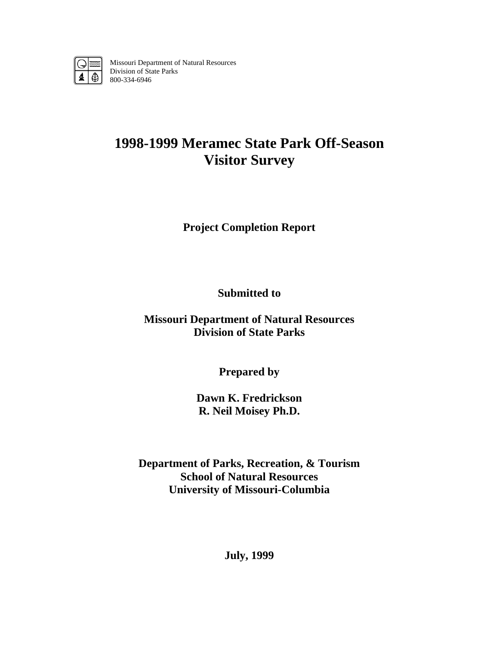

Missouri Department of Natural Resources Division of State Parks 800-334-6946

# **1998-1999 Meramec State Park Off-Season Visitor Survey**

**Project Completion Report** 

**Submitted to** 

**Missouri Department of Natural Resources Division of State Parks** 

**Prepared by** 

**Dawn K. Fredrickson R. Neil Moisey Ph.D.** 

**Department of Parks, Recreation, & Tourism School of Natural Resources University of Missouri-Columbia** 

**July, 1999**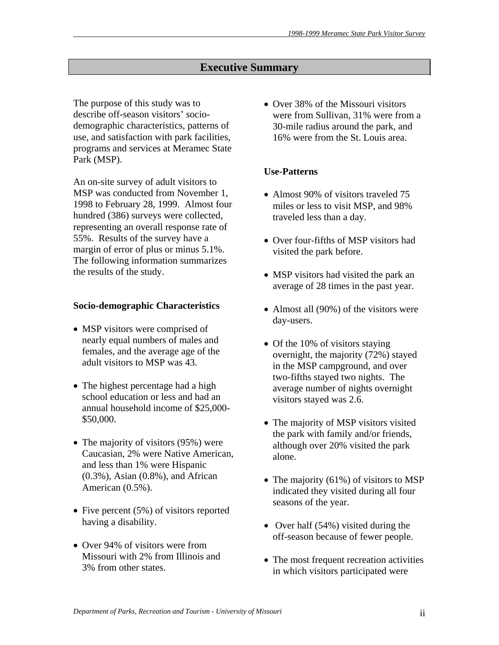# **Executive Summary**

The purpose of this study was to describe off-season visitors' sociodemographic characteristics, patterns of use, and satisfaction with park facilities, programs and services at Meramec State Park (MSP).

An on-site survey of adult visitors to MSP was conducted from November 1, 1998 to February 28, 1999. Almost four hundred (386) surveys were collected, representing an overall response rate of 55%. Results of the survey have a margin of error of plus or minus 5.1%. The following information summarizes the results of the study.

### **Socio-demographic Characteristics**

- MSP visitors were comprised of nearly equal numbers of males and females, and the average age of the adult visitors to MSP was 43.
- The highest percentage had a high school education or less and had an annual household income of \$25,000- \$50,000.
- The majority of visitors (95%) were Caucasian, 2% were Native American, and less than 1% were Hispanic (0.3%), Asian (0.8%), and African American (0.5%).
- Five percent (5%) of visitors reported having a disability.
- Over 94% of visitors were from Missouri with 2% from Illinois and 3% from other states.

• Over 38% of the Missouri visitors were from Sullivan, 31% were from a 30-mile radius around the park, and 16% were from the St. Louis area.

# **Use-Patterns**

- Almost 90% of visitors traveled 75 miles or less to visit MSP, and 98% traveled less than a day.
- Over four-fifths of MSP visitors had visited the park before.
- MSP visitors had visited the park an average of 28 times in the past year.
- Almost all (90%) of the visitors were day-users.
- Of the 10% of visitors staying overnight, the majority (72%) stayed in the MSP campground, and over two-fifths stayed two nights. The average number of nights overnight visitors stayed was 2.6.
- The majority of MSP visitors visited the park with family and/or friends, although over 20% visited the park alone.
- The majority (61%) of visitors to MSP indicated they visited during all four seasons of the year.
- Over half (54%) visited during the off-season because of fewer people.
- The most frequent recreation activities in which visitors participated were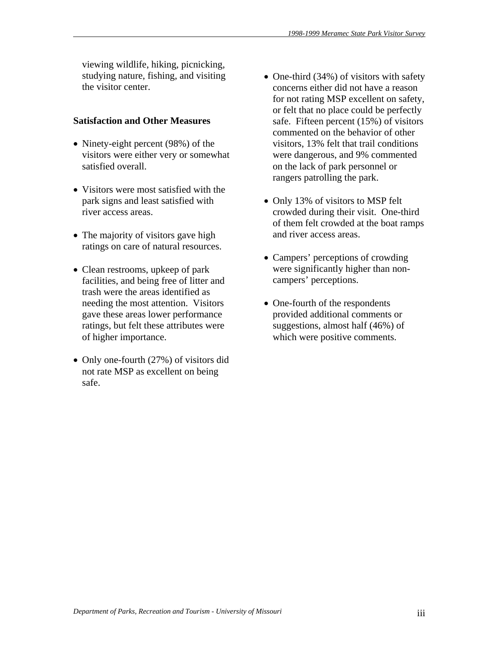viewing wildlife, hiking, picnicking, studying nature, fishing, and visiting the visitor center.

## **Satisfaction and Other Measures**

- Ninety-eight percent (98%) of the visitors were either very or somewhat satisfied overall.
- Visitors were most satisfied with the park signs and least satisfied with river access areas.
- The majority of visitors gave high ratings on care of natural resources.
- Clean restrooms, upkeep of park facilities, and being free of litter and trash were the areas identified as needing the most attention. Visitors gave these areas lower performance ratings, but felt these attributes were of higher importance.
- Only one-fourth (27%) of visitors did not rate MSP as excellent on being safe.
- One-third (34%) of visitors with safety concerns either did not have a reason for not rating MSP excellent on safety, or felt that no place could be perfectly safe. Fifteen percent (15%) of visitors commented on the behavior of other visitors, 13% felt that trail conditions were dangerous, and 9% commented on the lack of park personnel or rangers patrolling the park.
- Only 13% of visitors to MSP felt crowded during their visit. One-third of them felt crowded at the boat ramps and river access areas.
- Campers' perceptions of crowding were significantly higher than noncampers' perceptions.
- One-fourth of the respondents provided additional comments or suggestions, almost half (46%) of which were positive comments.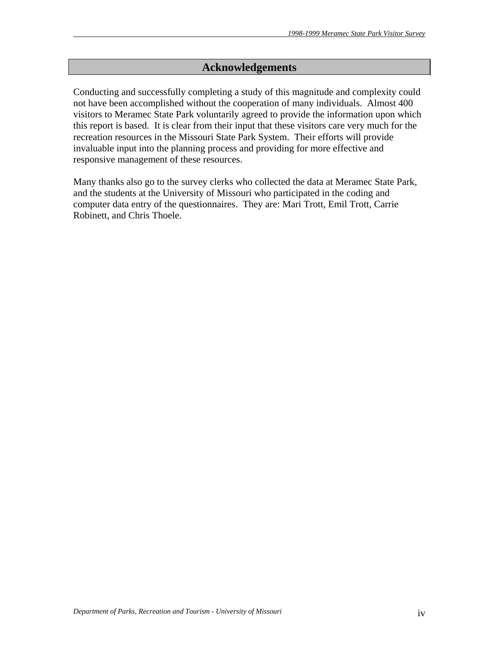# **Acknowledgements**

Conducting and successfully completing a study of this magnitude and complexity could not have been accomplished without the cooperation of many individuals. Almost 400 visitors to Meramec State Park voluntarily agreed to provide the information upon which this report is based. It is clear from their input that these visitors care very much for the recreation resources in the Missouri State Park System. Their efforts will provide invaluable input into the planning process and providing for more effective and responsive management of these resources.

Many thanks also go to the survey clerks who collected the data at Meramec State Park, and the students at the University of Missouri who participated in the coding and computer data entry of the questionnaires. They are: Mari Trott, Emil Trott, Carrie Robinett, and Chris Thoele.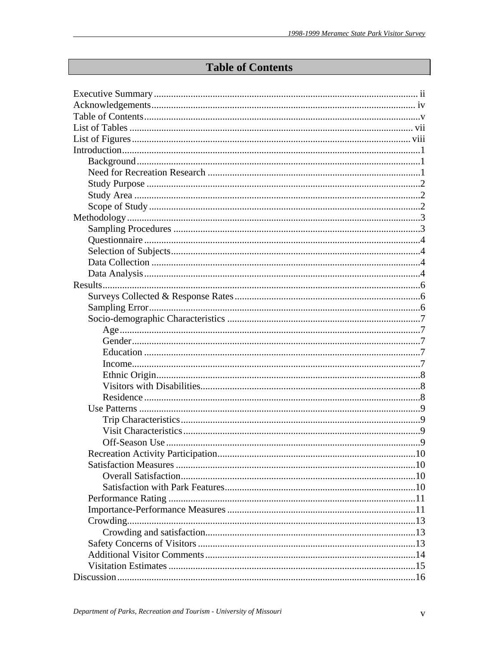# **Table of Contents**

| Recreation Activity Participation |  |
|-----------------------------------|--|
|                                   |  |
|                                   |  |
|                                   |  |
|                                   |  |
|                                   |  |
|                                   |  |
|                                   |  |
|                                   |  |
|                                   |  |
|                                   |  |
|                                   |  |
|                                   |  |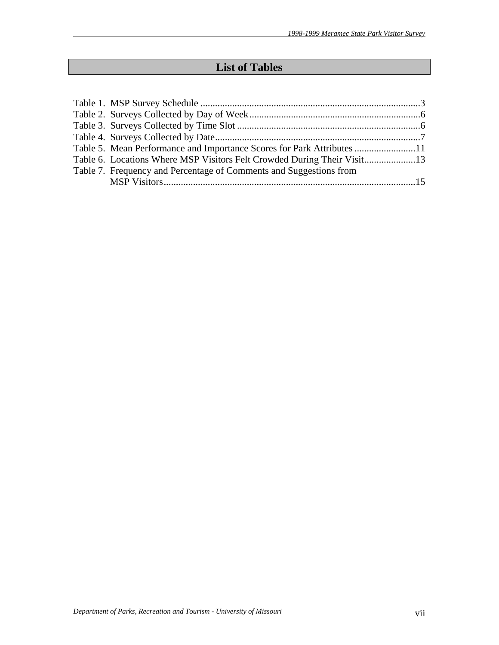# **List of Tables**

| Table 5. Mean Performance and Importance Scores for Park Attributes 11 |  |
|------------------------------------------------------------------------|--|
| Table 6. Locations Where MSP Visitors Felt Crowded During Their Visit  |  |
| Table 7. Frequency and Percentage of Comments and Suggestions from     |  |
|                                                                        |  |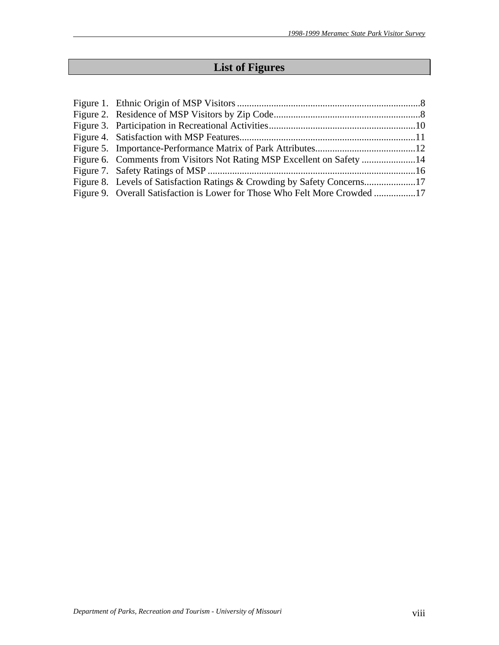# **List of Figures**

| Figure 8. Levels of Satisfaction Ratings & Crowding by Safety Concerns17   |  |
|----------------------------------------------------------------------------|--|
| Figure 9. Overall Satisfaction is Lower for Those Who Felt More Crowded 17 |  |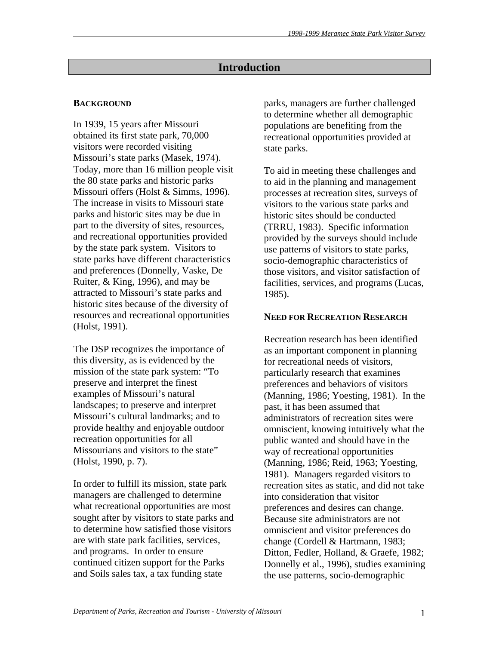# **Introduction**

# **BACKGROUND**

In 1939, 15 years after Missouri obtained its first state park, 70,000 visitors were recorded visiting Missouri's state parks (Masek, 1974). Today, more than 16 million people visit the 80 state parks and historic parks Missouri offers (Holst & Simms, 1996). The increase in visits to Missouri state parks and historic sites may be due in part to the diversity of sites, resources, and recreational opportunities provided by the state park system. Visitors to state parks have different characteristics and preferences (Donnelly, Vaske, De Ruiter, & King, 1996), and may be attracted to Missouri's state parks and historic sites because of the diversity of resources and recreational opportunities (Holst, 1991).

The DSP recognizes the importance of this diversity, as is evidenced by the mission of the state park system: "To preserve and interpret the finest examples of Missouri's natural landscapes; to preserve and interpret Missouri's cultural landmarks; and to provide healthy and enjoyable outdoor recreation opportunities for all Missourians and visitors to the state" (Holst, 1990, p. 7).

In order to fulfill its mission, state park managers are challenged to determine what recreational opportunities are most sought after by visitors to state parks and to determine how satisfied those visitors are with state park facilities, services, and programs. In order to ensure continued citizen support for the Parks and Soils sales tax, a tax funding state

parks, managers are further challenged to determine whether all demographic populations are benefiting from the recreational opportunities provided at state parks.

To aid in meeting these challenges and to aid in the planning and management processes at recreation sites, surveys of visitors to the various state parks and historic sites should be conducted (TRRU, 1983). Specific information provided by the surveys should include use patterns of visitors to state parks, socio-demographic characteristics of those visitors, and visitor satisfaction of facilities, services, and programs (Lucas, 1985).

## **NEED FOR RECREATION RESEARCH**

Recreation research has been identified as an important component in planning for recreational needs of visitors, particularly research that examines preferences and behaviors of visitors (Manning, 1986; Yoesting, 1981). In the past, it has been assumed that administrators of recreation sites were omniscient, knowing intuitively what the public wanted and should have in the way of recreational opportunities (Manning, 1986; Reid, 1963; Yoesting, 1981). Managers regarded visitors to recreation sites as static, and did not take into consideration that visitor preferences and desires can change. Because site administrators are not omniscient and visitor preferences do change (Cordell & Hartmann, 1983; Ditton, Fedler, Holland, & Graefe, 1982; Donnelly et al., 1996), studies examining the use patterns, socio-demographic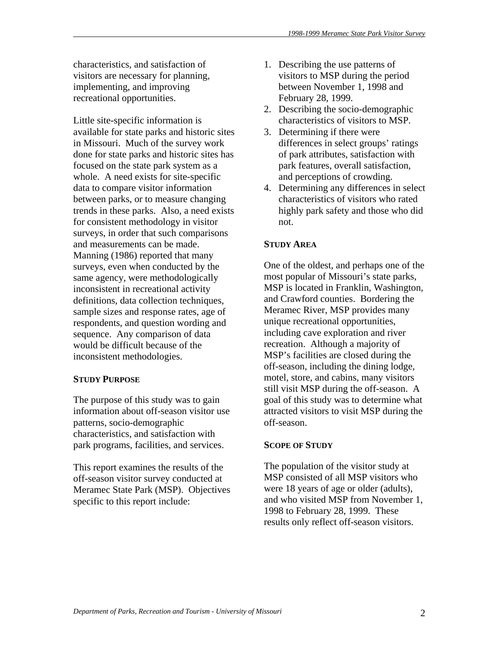characteristics, and satisfaction of visitors are necessary for planning, implementing, and improving recreational opportunities.

Little site-specific information is available for state parks and historic sites in Missouri. Much of the survey work done for state parks and historic sites has focused on the state park system as a whole. A need exists for site-specific data to compare visitor information between parks, or to measure changing trends in these parks. Also, a need exists for consistent methodology in visitor surveys, in order that such comparisons and measurements can be made. Manning (1986) reported that many surveys, even when conducted by the same agency, were methodologically inconsistent in recreational activity definitions, data collection techniques, sample sizes and response rates, age of respondents, and question wording and sequence. Any comparison of data would be difficult because of the inconsistent methodologies.

## **STUDY PURPOSE**

The purpose of this study was to gain information about off-season visitor use patterns, socio-demographic characteristics, and satisfaction with park programs, facilities, and services.

This report examines the results of the off-season visitor survey conducted at Meramec State Park (MSP). Objectives specific to this report include:

- 1. Describing the use patterns of visitors to MSP during the period between November 1, 1998 and February 28, 1999.
- 2. Describing the socio-demographic characteristics of visitors to MSP.
- 3. Determining if there were differences in select groups' ratings of park attributes, satisfaction with park features, overall satisfaction, and perceptions of crowding.
- 4. Determining any differences in select characteristics of visitors who rated highly park safety and those who did not.

# **STUDY AREA**

One of the oldest, and perhaps one of the most popular of Missouri's state parks, MSP is located in Franklin, Washington, and Crawford counties. Bordering the Meramec River, MSP provides many unique recreational opportunities, including cave exploration and river recreation. Although a majority of MSP's facilities are closed during the off-season, including the dining lodge, motel, store, and cabins, many visitors still visit MSP during the off-season. A goal of this study was to determine what attracted visitors to visit MSP during the off-season.

## **SCOPE OF STUDY**

The population of the visitor study at MSP consisted of all MSP visitors who were 18 years of age or older (adults), and who visited MSP from November 1, 1998 to February 28, 1999. These results only reflect off-season visitors.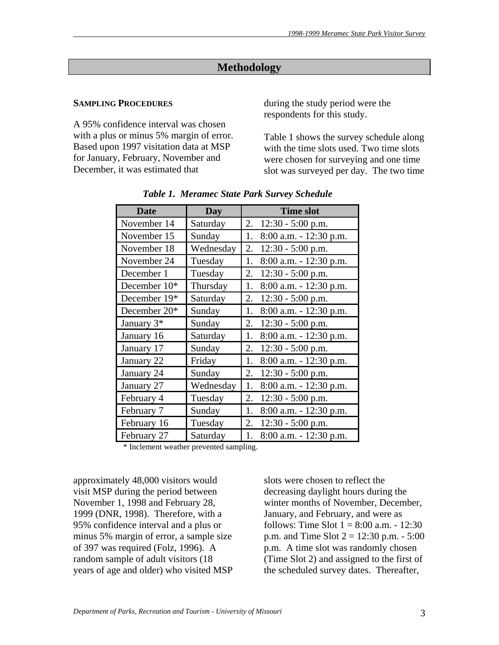# **Methodology**

#### **SAMPLING PROCEDURES**

A 95% confidence interval was chosen with a plus or minus 5% margin of error. Based upon 1997 visitation data at MSP for January, February, November and December, it was estimated that

during the study period were the respondents for this study.

Table 1 shows the survey schedule along with the time slots used. Two time slots were chosen for surveying and one time slot was surveyed per day. The two time

| <b>Date</b>            | <b>Day</b> | <b>Time slot</b>                |
|------------------------|------------|---------------------------------|
| November 14            | Saturday   | 2. $12:30 - 5:00$ p.m.          |
| November 15            | Sunday     | 1.<br>$8:00$ a.m. $-12:30$ p.m. |
| November 18            | Wednesday  | 2.<br>$12:30 - 5:00$ p.m.       |
| November 24            | Tuesday    | 1.<br>8:00 a.m. - 12:30 p.m.    |
| December 1             | Tuesday    | 2.<br>$12:30 - 5:00$ p.m.       |
| December 10*           | Thursday   | $8:00$ a.m. $-12:30$ p.m.<br>1. |
| December 19*           | Saturday   | 2.<br>$12:30 - 5:00$ p.m.       |
| December 20*           | Sunday     | 8:00 a.m. - 12:30 p.m.<br>1.    |
| January 3 <sup>*</sup> | Sunday     | 2.<br>$12:30 - 5:00$ p.m.       |
| January 16             | Saturday   | 1.<br>$8:00$ a.m. $-12:30$ p.m. |
| January 17             | Sunday     | 2.<br>$12:30 - 5:00$ p.m.       |
| January 22             | Friday     | 1.<br>$8:00$ a.m. $-12:30$ p.m. |
| January 24             | Sunday     | 2.<br>$12:30 - 5:00$ p.m.       |
| January 27             | Wednesday  | 8:00 a.m. - 12:30 p.m.<br>1.    |
| February 4             | Tuesday    | 2.<br>$12:30 - 5:00$ p.m.       |
| February 7             | Sunday     | 1.<br>8:00 a.m. - 12:30 p.m.    |
| February 16            | Tuesday    | 2.<br>$12:30 - 5:00$ p.m.       |
| February 27            | Saturday   | $8:00$ a.m. $-12:30$ p.m.<br>1. |

*Table 1. Meramec State Park Survey Schedule* 

\* Inclement weather prevented sampling.

approximately 48,000 visitors would visit MSP during the period between November 1, 1998 and February 28, 1999 (DNR, 1998). Therefore, with a 95% confidence interval and a plus or minus 5% margin of error, a sample size of 397 was required (Folz, 1996). A random sample of adult visitors (18 years of age and older) who visited MSP slots were chosen to reflect the decreasing daylight hours during the winter months of November, December, January, and February, and were as follows: Time Slot  $1 = 8:00$  a.m.  $- 12:30$ p.m. and Time Slot  $2 = 12:30$  p.m.  $- 5:00$ p.m. A time slot was randomly chosen (Time Slot 2) and assigned to the first of the scheduled survey dates. Thereafter,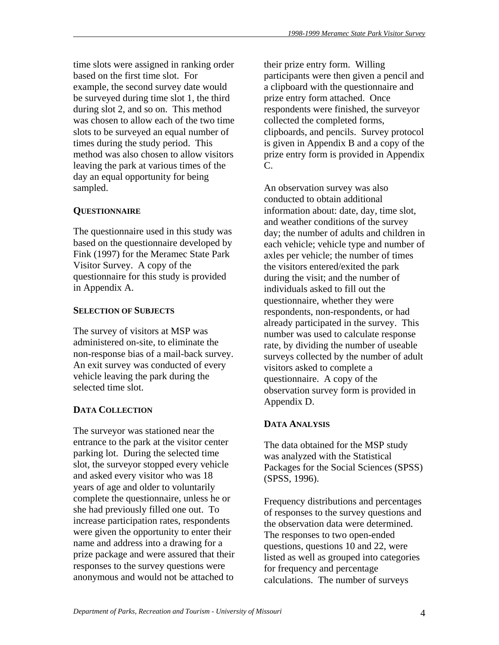time slots were assigned in ranking order based on the first time slot. For example, the second survey date would be surveyed during time slot 1, the third during slot 2, and so on. This method was chosen to allow each of the two time slots to be surveyed an equal number of times during the study period. This method was also chosen to allow visitors leaving the park at various times of the day an equal opportunity for being sampled.

# **QUESTIONNAIRE**

The questionnaire used in this study was based on the questionnaire developed by Fink (1997) for the Meramec State Park Visitor Survey. A copy of the questionnaire for this study is provided in Appendix A.

# **SELECTION OF SUBJECTS**

The survey of visitors at MSP was administered on-site, to eliminate the non-response bias of a mail-back survey. An exit survey was conducted of every vehicle leaving the park during the selected time slot.

# **DATA COLLECTION**

The surveyor was stationed near the entrance to the park at the visitor center parking lot. During the selected time slot, the surveyor stopped every vehicle and asked every visitor who was 18 years of age and older to voluntarily complete the questionnaire, unless he or she had previously filled one out. To increase participation rates, respondents were given the opportunity to enter their name and address into a drawing for a prize package and were assured that their responses to the survey questions were anonymous and would not be attached to

their prize entry form. Willing participants were then given a pencil and a clipboard with the questionnaire and prize entry form attached. Once respondents were finished, the surveyor collected the completed forms, clipboards, and pencils. Survey protocol is given in Appendix B and a copy of the prize entry form is provided in Appendix C.

An observation survey was also conducted to obtain additional information about: date, day, time slot, and weather conditions of the survey day; the number of adults and children in each vehicle; vehicle type and number of axles per vehicle; the number of times the visitors entered/exited the park during the visit; and the number of individuals asked to fill out the questionnaire, whether they were respondents, non-respondents, or had already participated in the survey. This number was used to calculate response rate, by dividing the number of useable surveys collected by the number of adult visitors asked to complete a questionnaire. A copy of the observation survey form is provided in Appendix D.

# **DATA ANALYSIS**

The data obtained for the MSP study was analyzed with the Statistical Packages for the Social Sciences (SPSS) (SPSS, 1996).

Frequency distributions and percentages of responses to the survey questions and the observation data were determined. The responses to two open-ended questions, questions 10 and 22, were listed as well as grouped into categories for frequency and percentage calculations. The number of surveys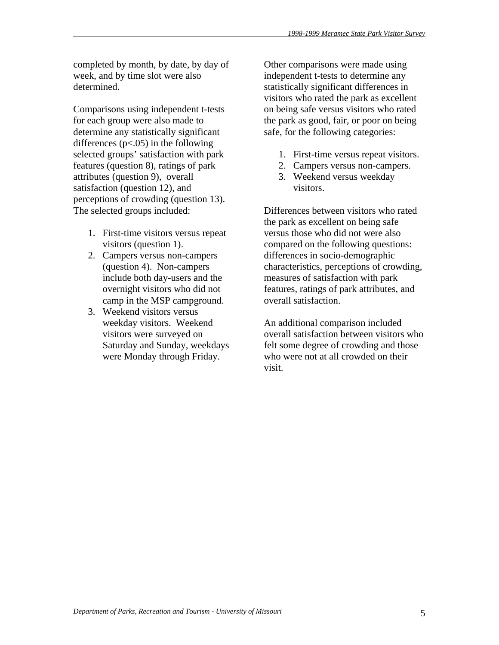completed by month, by date, by day of week, and by time slot were also determined.

Comparisons using independent t-tests for each group were also made to determine any statistically significant differences  $(p<.05)$  in the following selected groups' satisfaction with park features (question 8), ratings of park attributes (question 9), overall satisfaction (question 12), and perceptions of crowding (question 13). The selected groups included:

- 1. First-time visitors versus repeat visitors (question 1).
- 2. Campers versus non-campers (question 4). Non-campers include both day-users and the overnight visitors who did not camp in the MSP campground.
- 3. Weekend visitors versus weekday visitors. Weekend visitors were surveyed on Saturday and Sunday, weekdays were Monday through Friday.

Other comparisons were made using independent t-tests to determine any statistically significant differences in visitors who rated the park as excellent on being safe versus visitors who rated the park as good, fair, or poor on being safe, for the following categories:

- 1. First-time versus repeat visitors.
- 2. Campers versus non-campers.
- 3. Weekend versus weekday visitors.

Differences between visitors who rated the park as excellent on being safe versus those who did not were also compared on the following questions: differences in socio-demographic characteristics, perceptions of crowding, measures of satisfaction with park features, ratings of park attributes, and overall satisfaction.

An additional comparison included overall satisfaction between visitors who felt some degree of crowding and those who were not at all crowded on their visit.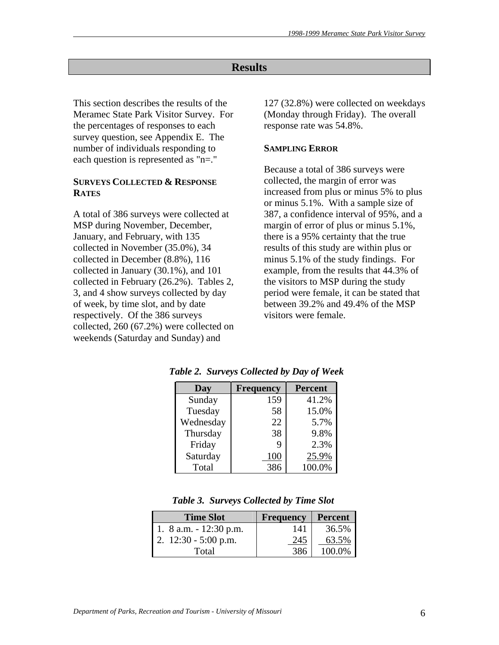# **Results**

This section describes the results of the Meramec State Park Visitor Survey. For the percentages of responses to each survey question, see Appendix E. The number of individuals responding to each question is represented as "n=."

## **SURVEYS COLLECTED & RESPONSE RATES**

A total of 386 surveys were collected at MSP during November, December, January, and February, with 135 collected in November (35.0%), 34 collected in December (8.8%), 116 collected in January (30.1%), and 101 collected in February (26.2%). Tables 2, 3, and 4 show surveys collected by day of week, by time slot, and by date respectively. Of the 386 surveys collected, 260 (67.2%) were collected on weekends (Saturday and Sunday) and

127 (32.8%) were collected on weekdays (Monday through Friday). The overall response rate was 54.8%.

## **SAMPLING ERROR**

Because a total of 386 surveys were collected, the margin of error was increased from plus or minus 5% to plus or minus 5.1%. With a sample size of 387, a confidence interval of 95%, and a margin of error of plus or minus 5.1%, there is a 95% certainty that the true results of this study are within plus or minus 5.1% of the study findings. For example, from the results that 44.3% of the visitors to MSP during the study period were female, it can be stated that between 39.2% and 49.4% of the MSP visitors were female.

| Day       | <b>Frequency</b> | <b>Percent</b> |
|-----------|------------------|----------------|
| Sunday    | 159              | 41.2%          |
| Tuesday   | 58               | 15.0%          |
| Wednesday | 22               | 5.7%           |
| Thursday  | 38               | 9.8%           |
| Friday    | 9                | 2.3%           |
| Saturday  | 100              | 25.9%          |
| Total     | 386              | 100.0%         |

 *Table 2. Surveys Collected by Day of Week* 

| <b>Time Slot</b>           | <b>Frequency</b> | <b>Percent</b> |
|----------------------------|------------------|----------------|
| 1. $8$ a.m. $- 12:30$ p.m. | 141              | 36.5%          |
| 2. $12:30 - 5:00$ p.m.     | 245              | 63.5%          |
| Total                      | 386              | 100.0%         |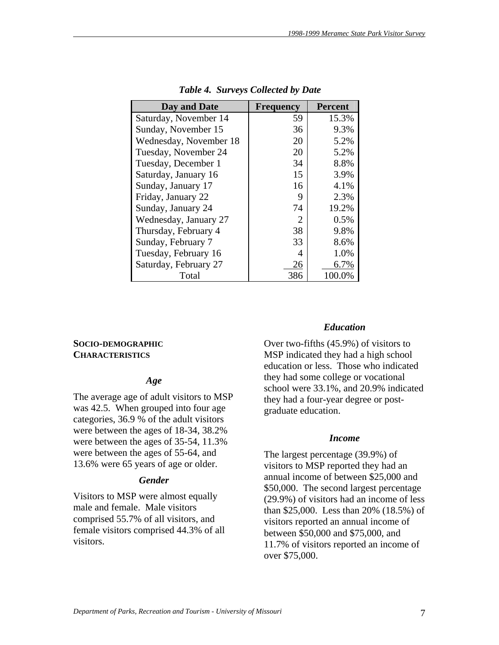| Day and Date           | <b>Frequency</b> | <b>Percent</b> |
|------------------------|------------------|----------------|
| Saturday, November 14  | 59               | 15.3%          |
| Sunday, November 15    | 36               | 9.3%           |
| Wednesday, November 18 | 20               | 5.2%           |
| Tuesday, November 24   | 20               | 5.2%           |
| Tuesday, December 1    | 34               | 8.8%           |
| Saturday, January 16   | 15               | 3.9%           |
| Sunday, January 17     | 16               | 4.1%           |
| Friday, January 22     | 9                | 2.3%           |
| Sunday, January 24     | 74               | 19.2%          |
| Wednesday, January 27  | 2                | 0.5%           |
| Thursday, February 4   | 38               | 9.8%           |
| Sunday, February 7     | 33               | 8.6%           |
| Tuesday, February 16   |                  | 1.0%           |
| Saturday, February 27  | 26               | 6.7%           |
| Total                  | 386              | 100.0%         |

 *Table 4. Surveys Collected by Date* 

### **SOCIO-DEMOGRAPHIC CHARACTERISTICS**

#### *Age*

The average age of adult visitors to MSP was 42.5. When grouped into four age categories, 36.9 % of the adult visitors were between the ages of 18-34, 38.2% were between the ages of 35-54, 11.3% were between the ages of 55-64, and 13.6% were 65 years of age or older.

## *Gender*

Visitors to MSP were almost equally male and female. Male visitors comprised 55.7% of all visitors, and female visitors comprised 44.3% of all visitors.

#### *Education*

Over two-fifths (45.9%) of visitors to MSP indicated they had a high school education or less. Those who indicated they had some college or vocational school were 33.1%, and 20.9% indicated they had a four-year degree or postgraduate education.

#### *Income*

The largest percentage (39.9%) of visitors to MSP reported they had an annual income of between \$25,000 and \$50,000. The second largest percentage (29.9%) of visitors had an income of less than \$25,000. Less than 20% (18.5%) of visitors reported an annual income of between \$50,000 and \$75,000, and 11.7% of visitors reported an income of over \$75,000.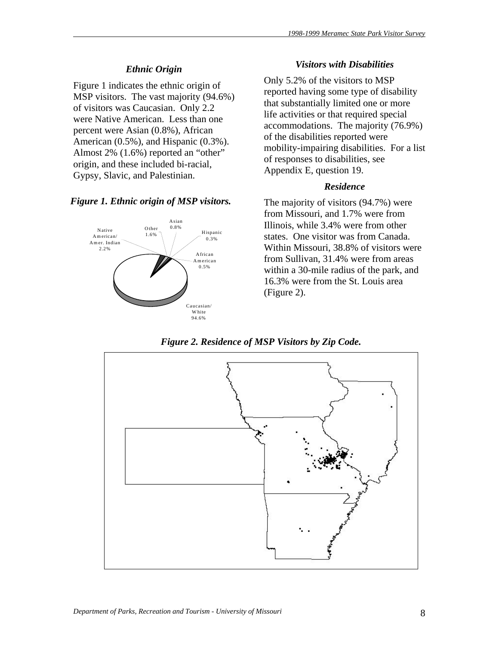# *Ethnic Origin*

Figure 1 indicates the ethnic origin of MSP visitors. The vast majority (94.6%) of visitors was Caucasian. Only 2.2 were Native American. Less than one percent were Asian (0.8%), African American (0.5%), and Hispanic (0.3%). Almost 2% (1.6%) reported an "other" origin, and these included bi-racial, Gypsy, Slavic, and Palestinian.

## *Figure 1. Ethnic origin of MSP visitors.*



### *Visitors with Disabilities*

Only 5.2% of the visitors to MSP reported having some type of disability that substantially limited one or more life activities or that required special accommodations. The majority (76.9%) of the disabilities reported were mobility-impairing disabilities. For a list of responses to disabilities, see Appendix E, question 19.

## *Residence*

The majority of visitors (94.7%) were from Missouri, and 1.7% were from Illinois, while 3.4% were from other states. One visitor was from Canada. Within Missouri, 38.8% of visitors were from Sullivan, 31.4% were from areas within a 30-mile radius of the park, and 16.3% were from the St. Louis area (Figure 2).

*Figure 2. Residence of MSP Visitors by Zip Code.* 

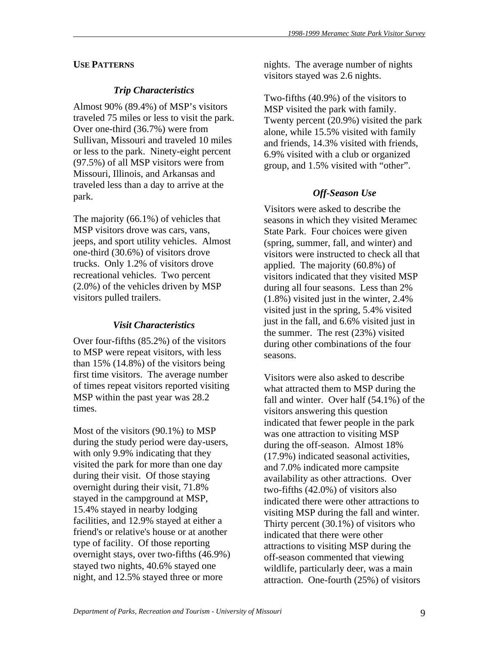# **USE PATTERNS**

# *Trip Characteristics*

Almost 90% (89.4%) of MSP's visitors traveled 75 miles or less to visit the park. Over one-third (36.7%) were from Sullivan, Missouri and traveled 10 miles or less to the park. Ninety-eight percent (97.5%) of all MSP visitors were from Missouri, Illinois, and Arkansas and traveled less than a day to arrive at the park.

The majority (66.1%) of vehicles that MSP visitors drove was cars, vans, jeeps, and sport utility vehicles. Almost one-third (30.6%) of visitors drove trucks. Only 1.2% of visitors drove recreational vehicles. Two percent (2.0%) of the vehicles driven by MSP visitors pulled trailers.

# *Visit Characteristics*

Over four-fifths (85.2%) of the visitors to MSP were repeat visitors, with less than  $15\%$  (14.8%) of the visitors being first time visitors. The average number of times repeat visitors reported visiting MSP within the past year was 28.2 times.

Most of the visitors (90.1%) to MSP during the study period were day-users, with only 9.9% indicating that they visited the park for more than one day during their visit. Of those staying overnight during their visit, 71.8% stayed in the campground at MSP, 15.4% stayed in nearby lodging facilities, and 12.9% stayed at either a friend's or relative's house or at another type of facility. Of those reporting overnight stays, over two-fifths (46.9%) stayed two nights, 40.6% stayed one night, and 12.5% stayed three or more

nights. The average number of nights visitors stayed was 2.6 nights.

Two-fifths (40.9%) of the visitors to MSP visited the park with family. Twenty percent (20.9%) visited the park alone, while 15.5% visited with family and friends, 14.3% visited with friends, 6.9% visited with a club or organized group, and 1.5% visited with "other".

# *Off-Season Use*

Visitors were asked to describe the seasons in which they visited Meramec State Park. Four choices were given (spring, summer, fall, and winter) and visitors were instructed to check all that applied. The majority (60.8%) of visitors indicated that they visited MSP during all four seasons. Less than 2% (1.8%) visited just in the winter, 2.4% visited just in the spring, 5.4% visited just in the fall, and 6.6% visited just in the summer. The rest (23%) visited during other combinations of the four seasons.

Visitors were also asked to describe what attracted them to MSP during the fall and winter. Over half (54.1%) of the visitors answering this question indicated that fewer people in the park was one attraction to visiting MSP during the off-season. Almost 18% (17.9%) indicated seasonal activities, and 7.0% indicated more campsite availability as other attractions. Over two-fifths (42.0%) of visitors also indicated there were other attractions to visiting MSP during the fall and winter. Thirty percent (30.1%) of visitors who indicated that there were other attractions to visiting MSP during the off-season commented that viewing wildlife, particularly deer, was a main attraction. One-fourth (25%) of visitors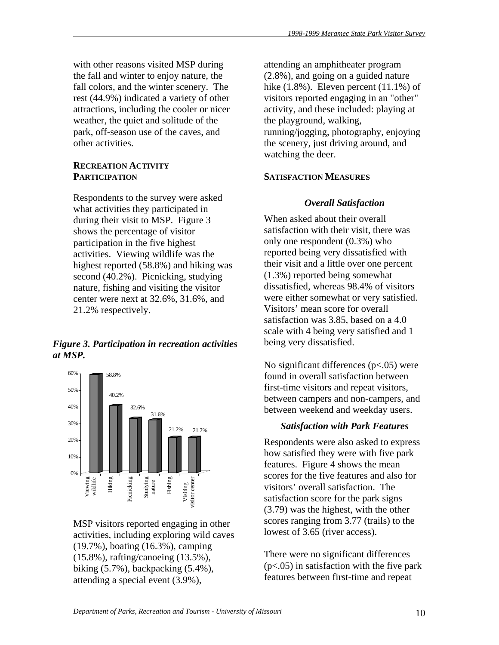with other reasons visited MSP during the fall and winter to enjoy nature, the fall colors, and the winter scenery. The rest (44.9%) indicated a variety of other attractions, including the cooler or nicer weather, the quiet and solitude of the park, off-season use of the caves, and other activities.

# **RECREATION ACTIVITY PARTICIPATION**

Respondents to the survey were asked what activities they participated in during their visit to MSP. Figure 3 shows the percentage of visitor participation in the five highest activities. Viewing wildlife was the highest reported (58.8%) and hiking was second (40.2%). Picnicking, studying nature, fishing and visiting the visitor center were next at 32.6%, 31.6%, and 21.2% respectively.

# *Figure 3. Participation in recreation activities at MSP.*



MSP visitors reported engaging in other activities, including exploring wild caves (19.7%), boating (16.3%), camping (15.8%), rafting/canoeing (13.5%), biking (5.7%), backpacking (5.4%), attending a special event (3.9%),

attending an amphitheater program (2.8%), and going on a guided nature hike  $(1.8\%)$ . Eleven percent  $(11.1\%)$  of visitors reported engaging in an "other" activity, and these included: playing at the playground, walking, running/jogging, photography, enjoying the scenery, just driving around, and watching the deer.

# **SATISFACTION MEASURES**

# *Overall Satisfaction*

When asked about their overall satisfaction with their visit, there was only one respondent (0.3%) who reported being very dissatisfied with their visit and a little over one percent (1.3%) reported being somewhat dissatisfied, whereas 98.4% of visitors were either somewhat or very satisfied. Visitors' mean score for overall satisfaction was 3.85, based on a 4.0 scale with 4 being very satisfied and 1 being very dissatisfied.

No significant differences  $(p<.05)$  were found in overall satisfaction between first-time visitors and repeat visitors, between campers and non-campers, and between weekend and weekday users.

# *Satisfaction with Park Features*

Respondents were also asked to express how satisfied they were with five park features. Figure 4 shows the mean scores for the five features and also for visitors' overall satisfaction. The satisfaction score for the park signs (3.79) was the highest, with the other scores ranging from 3.77 (trails) to the lowest of 3.65 (river access).

There were no significant differences  $(p<.05)$  in satisfaction with the five park features between first-time and repeat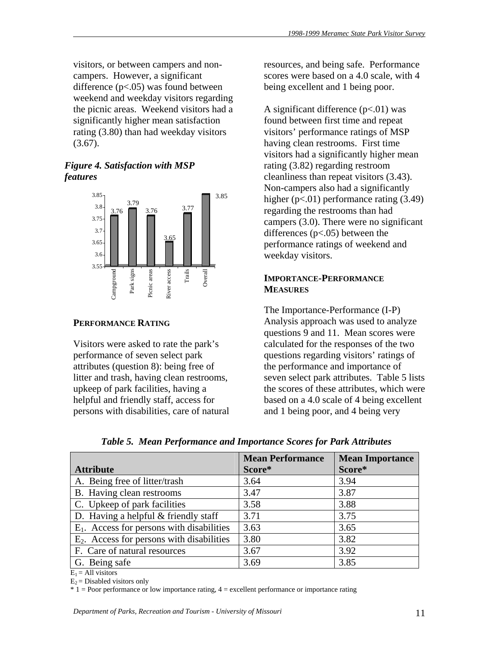visitors, or between campers and noncampers. However, a significant difference  $(p<.05)$  was found between weekend and weekday visitors regarding the picnic areas. Weekend visitors had a significantly higher mean satisfaction rating (3.80) than had weekday visitors  $(3.67)$ .

# *Figure 4. Satisfaction with MSP features*



## **PERFORMANCE RATING**

Visitors were asked to rate the park's performance of seven select park attributes (question 8): being free of litter and trash, having clean restrooms, upkeep of park facilities, having a helpful and friendly staff, access for persons with disabilities, care of natural resources, and being safe. Performance scores were based on a 4.0 scale, with 4 being excellent and 1 being poor.

A significant difference  $(p<.01)$  was found between first time and repeat visitors' performance ratings of MSP having clean restrooms. First time visitors had a significantly higher mean rating (3.82) regarding restroom cleanliness than repeat visitors (3.43). Non-campers also had a significantly higher  $(p<.01)$  performance rating  $(3.49)$ regarding the restrooms than had campers (3.0). There were no significant differences  $(p<.05)$  between the performance ratings of weekend and weekday visitors.

# **IMPORTANCE-PERFORMANCE MEASURES**

The Importance-Performance (I-P) Analysis approach was used to analyze questions 9 and 11. Mean scores were calculated for the responses of the two questions regarding visitors' ratings of the performance and importance of seven select park attributes. Table 5 lists the scores of these attributes, which were based on a 4.0 scale of 4 being excellent and 1 being poor, and 4 being very

|                                              | <b>Mean Performance</b> | <b>Mean Importance</b> |
|----------------------------------------------|-------------------------|------------------------|
| <b>Attribute</b>                             | Score*                  | Score*                 |
| A. Being free of litter/trash                | 3.64                    | 3.94                   |
| B. Having clean restrooms                    | 3.47                    | 3.87                   |
| C. Upkeep of park facilities                 | 3.58                    | 3.88                   |
| D. Having a helpful & friendly staff         | 3.71                    | 3.75                   |
| $E_1$ . Access for persons with disabilities | 3.63                    | 3.65                   |
| $E_2$ . Access for persons with disabilities | 3.80                    | 3.82                   |
| F. Care of natural resources                 | 3.67                    | 3.92                   |
| G. Being safe                                | 3.69                    | 3.85                   |

*Table 5. Mean Performance and Importance Scores for Park Attributes* 

 $E_1$  = All visitors

 $E<sub>2</sub>$  = Disabled visitors only

 $* 1 =$  Poor performance or low importance rating,  $4 =$  excellent performance or importance rating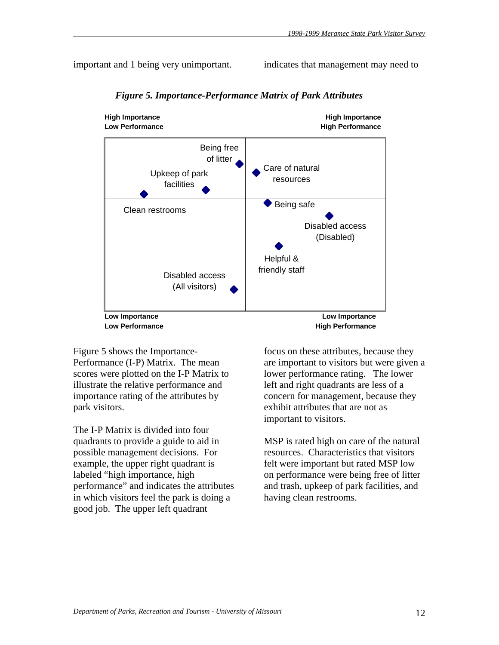important and 1 being very unimportant.

indicates that management may need to



 *Figure 5. Importance-Performance Matrix of Park Attributes* 

Figure 5 shows the Importance-Performance (I-P) Matrix. The mean scores were plotted on the I-P Matrix to illustrate the relative performance and importance rating of the attributes by park visitors.

The I-P Matrix is divided into four quadrants to provide a guide to aid in possible management decisions. For example, the upper right quadrant is labeled "high importance, high performance" and indicates the attributes in which visitors feel the park is doing a good job. The upper left quadrant

focus on these attributes, because they are important to visitors but were given a lower performance rating. The lower left and right quadrants are less of a concern for management, because they exhibit attributes that are not as important to visitors.

MSP is rated high on care of the natural resources. Characteristics that visitors felt were important but rated MSP low on performance were being free of litter and trash, upkeep of park facilities, and having clean restrooms.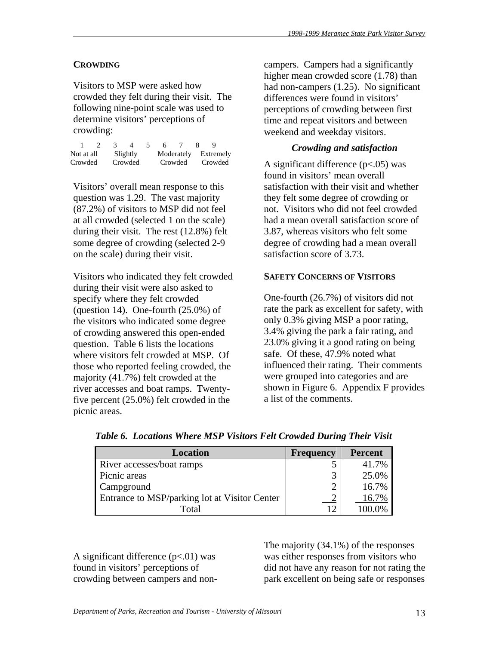# **CROWDING**

Visitors to MSP were asked how crowded they felt during their visit. The following nine-point scale was used to determine visitors' perceptions of crowding:

| Not at all |  | Slightly |  | Moderately | Extremely |
|------------|--|----------|--|------------|-----------|
| Crowded    |  | Crowded  |  | Crowded    | Crowded   |

Visitors' overall mean response to this question was 1.29. The vast majority (87.2%) of visitors to MSP did not feel at all crowded (selected 1 on the scale) during their visit. The rest (12.8%) felt some degree of crowding (selected 2-9 on the scale) during their visit.

Visitors who indicated they felt crowded during their visit were also asked to specify where they felt crowded (question 14). One-fourth  $(25.0\%)$  of the visitors who indicated some degree of crowding answered this open-ended question. Table 6 lists the locations where visitors felt crowded at MSP. Of those who reported feeling crowded, the majority (41.7%) felt crowded at the river accesses and boat ramps. Twentyfive percent (25.0%) felt crowded in the picnic areas.

campers. Campers had a significantly higher mean crowded score (1.78) than had non-campers (1.25). No significant differences were found in visitors' perceptions of crowding between first time and repeat visitors and between weekend and weekday visitors.

# *Crowding and satisfaction*

A significant difference (p<.05) was found in visitors' mean overall satisfaction with their visit and whether they felt some degree of crowding or not. Visitors who did not feel crowded had a mean overall satisfaction score of 3.87, whereas visitors who felt some degree of crowding had a mean overall satisfaction score of 3.73.

# **SAFETY CONCERNS OF VISITORS**

One-fourth (26.7%) of visitors did not rate the park as excellent for safety, with only 0.3% giving MSP a poor rating, 3.4% giving the park a fair rating, and 23.0% giving it a good rating on being safe. Of these, 47.9% noted what influenced their rating. Their comments were grouped into categories and are shown in Figure 6. Appendix F provides a list of the comments.

| <b>Location</b>                               | <b>Frequency</b> | <b>Percent</b> |
|-----------------------------------------------|------------------|----------------|
| River accesses/boat ramps                     |                  | 41.7%          |
| Picnic areas                                  | 3                | 25.0%          |
| Campground                                    | 2                | 16.7%          |
| Entrance to MSP/parking lot at Visitor Center |                  | 16.7%          |
| Total                                         | 1 $\mathcal{D}$  |                |

 *Table 6. Locations Where MSP Visitors Felt Crowded During Their Visit* 

A significant difference  $(p<.01)$  was found in visitors' perceptions of crowding between campers and non-

The majority (34.1%) of the responses was either responses from visitors who did not have any reason for not rating the park excellent on being safe or responses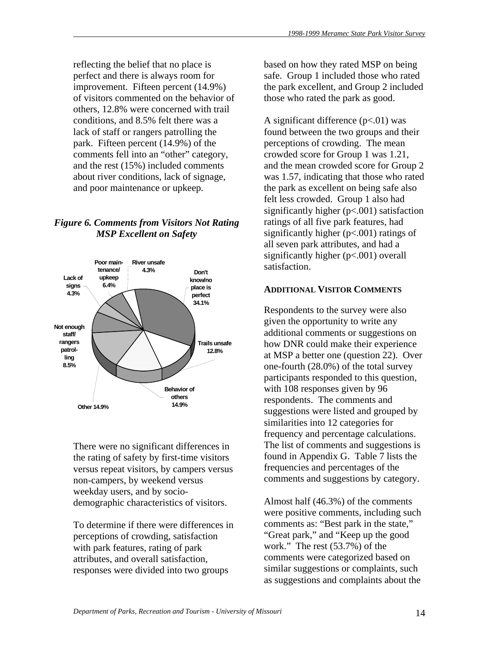reflecting the belief that no place is perfect and there is always room for improvement. Fifteen percent (14.9%) of visitors commented on the behavior of others, 12.8% were concerned with trail conditions, and 8.5% felt there was a lack of staff or rangers patrolling the park. Fifteen percent (14.9%) of the comments fell into an "other" category, and the rest (15%) included comments about river conditions, lack of signage, and poor maintenance or upkeep.

# *Figure 6. Comments from Visitors Not Rating MSP Excellent on Safety*



There were no significant differences in the rating of safety by first-time visitors versus repeat visitors, by campers versus non-campers, by weekend versus weekday users, and by sociodemographic characteristics of visitors.

To determine if there were differences in perceptions of crowding, satisfaction with park features, rating of park attributes, and overall satisfaction, responses were divided into two groups

based on how they rated MSP on being safe. Group 1 included those who rated the park excellent, and Group 2 included those who rated the park as good.

A significant difference  $(p<.01)$  was found between the two groups and their perceptions of crowding. The mean crowded score for Group 1 was 1.21, and the mean crowded score for Group 2 was 1.57, indicating that those who rated the park as excellent on being safe also felt less crowded. Group 1 also had significantly higher (p<.001) satisfaction ratings of all five park features, had significantly higher (p<.001) ratings of all seven park attributes, and had a significantly higher (p<.001) overall satisfaction.

# **ADDITIONAL VISITOR COMMENTS**

Respondents to the survey were also given the opportunity to write any additional comments or suggestions on how DNR could make their experience at MSP a better one (question 22). Over one-fourth (28.0%) of the total survey participants responded to this question, with 108 responses given by 96 respondents. The comments and suggestions were listed and grouped by similarities into 12 categories for frequency and percentage calculations. The list of comments and suggestions is found in Appendix G. Table 7 lists the frequencies and percentages of the comments and suggestions by category.

Almost half (46.3%) of the comments were positive comments, including such comments as: "Best park in the state," "Great park," and "Keep up the good work." The rest (53.7%) of the comments were categorized based on similar suggestions or complaints, such as suggestions and complaints about the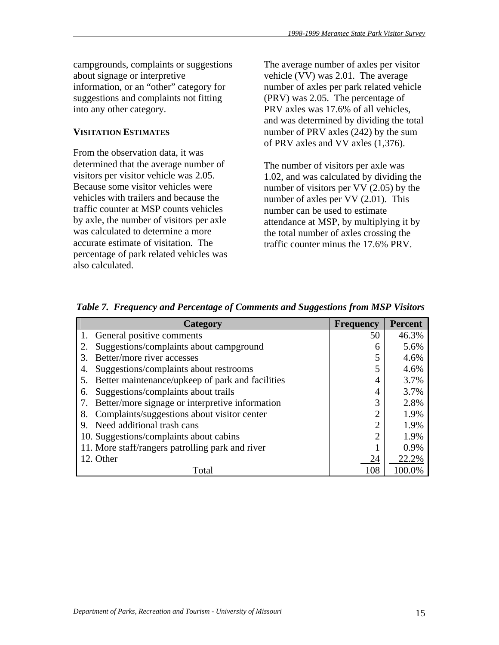campgrounds, complaints or suggestions about signage or interpretive information, or an "other" category for suggestions and complaints not fitting into any other category.

### **VISITATION ESTIMATES**

From the observation data, it was determined that the average number of visitors per visitor vehicle was 2.05. Because some visitor vehicles were vehicles with trailers and because the traffic counter at MSP counts vehicles by axle, the number of visitors per axle was calculated to determine a more accurate estimate of visitation. The percentage of park related vehicles was also calculated.

The average number of axles per visitor vehicle (VV) was 2.01. The average number of axles per park related vehicle (PRV) was 2.05. The percentage of PRV axles was 17.6% of all vehicles, and was determined by dividing the total number of PRV axles (242) by the sum of PRV axles and VV axles (1,376).

The number of visitors per axle was 1.02, and was calculated by dividing the number of visitors per VV (2.05) by the number of axles per VV (2.01). This number can be used to estimate attendance at MSP, by multiplying it by the total number of axles crossing the traffic counter minus the 17.6% PRV.

| Category                                               | <b>Frequency</b> | <b>Percent</b> |
|--------------------------------------------------------|------------------|----------------|
| 1. General positive comments                           | 50               | 46.3%          |
| Suggestions/complaints about campground                | 6                | 5.6%           |
| Better/more river accesses<br>$\mathcal{R}$            |                  | 4.6%           |
| Suggestions/complaints about restrooms<br>4.           |                  | 4.6%           |
| Better maintenance/upkeep of park and facilities<br>5. | 4                | 3.7%           |
| Suggestions/complaints about trails<br>6.              |                  | 3.7%           |
| Better/more signage or interpretive information        | 3                | 2.8%           |
| Complaints/suggestions about visitor center<br>8.      | 2                | 1.9%           |
| Need additional trash cans<br>9.                       | 2                | 1.9%           |
| 10. Suggestions/complaints about cabins                | 2                | 1.9%           |
| 11. More staff/rangers patrolling park and river       |                  | 0.9%           |
| 12. Other                                              | 24               | 22.2%          |
| Total                                                  | 108              | 100.0%         |

*Table 7. Frequency and Percentage of Comments and Suggestions from MSP Visitors*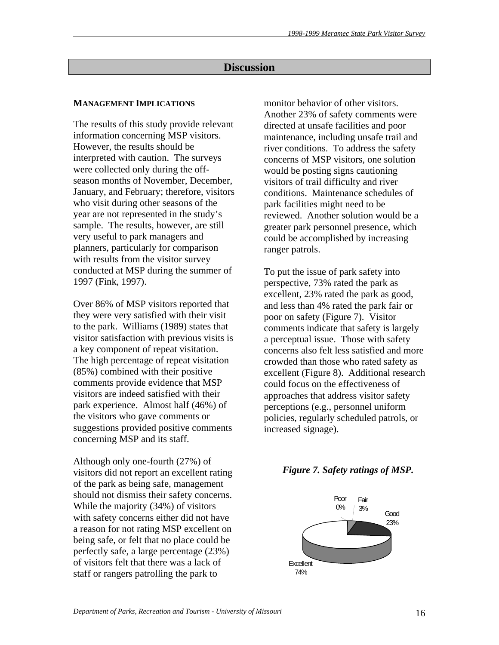# **Discussion**

# **MANAGEMENT IMPLICATIONS**

The results of this study provide relevant information concerning MSP visitors. However, the results should be interpreted with caution. The surveys were collected only during the offseason months of November, December, January, and February; therefore, visitors who visit during other seasons of the year are not represented in the study's sample. The results, however, are still very useful to park managers and planners, particularly for comparison with results from the visitor survey conducted at MSP during the summer of 1997 (Fink, 1997).

Over 86% of MSP visitors reported that they were very satisfied with their visit to the park. Williams (1989) states that visitor satisfaction with previous visits is a key component of repeat visitation. The high percentage of repeat visitation (85%) combined with their positive comments provide evidence that MSP visitors are indeed satisfied with their park experience. Almost half (46%) of the visitors who gave comments or suggestions provided positive comments concerning MSP and its staff.

Although only one-fourth (27%) of visitors did not report an excellent rating of the park as being safe, management should not dismiss their safety concerns. While the majority (34%) of visitors with safety concerns either did not have a reason for not rating MSP excellent on being safe, or felt that no place could be perfectly safe, a large percentage (23%) of visitors felt that there was a lack of staff or rangers patrolling the park to

monitor behavior of other visitors. Another 23% of safety comments were directed at unsafe facilities and poor maintenance, including unsafe trail and river conditions. To address the safety concerns of MSP visitors, one solution would be posting signs cautioning visitors of trail difficulty and river conditions. Maintenance schedules of park facilities might need to be reviewed. Another solution would be a greater park personnel presence, which could be accomplished by increasing ranger patrols.

To put the issue of park safety into perspective, 73% rated the park as excellent, 23% rated the park as good, and less than 4% rated the park fair or poor on safety (Figure 7). Visitor comments indicate that safety is largely a perceptual issue. Those with safety concerns also felt less satisfied and more crowded than those who rated safety as excellent (Figure 8). Additional research could focus on the effectiveness of approaches that address visitor safety perceptions (e.g., personnel uniform policies, regularly scheduled patrols, or increased signage).

# *Figure 7. Safety ratings of MSP.*

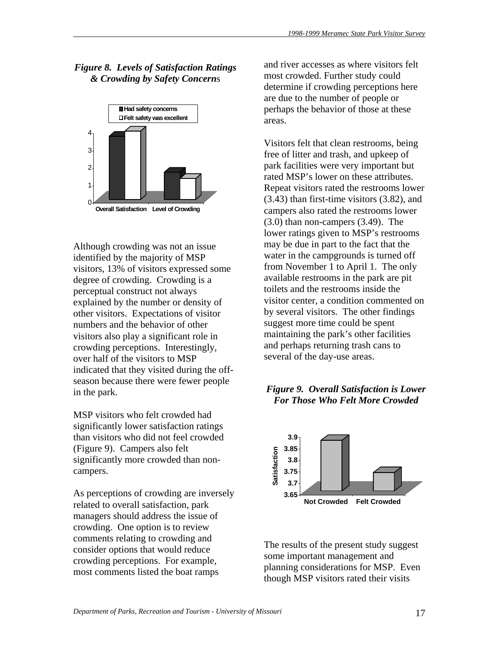*Figure 8. Levels of Satisfaction Ratings & Crowding by Safety Concern*s



Although crowding was not an issue identified by the majority of MSP visitors, 13% of visitors expressed some degree of crowding. Crowding is a perceptual construct not always explained by the number or density of other visitors. Expectations of visitor numbers and the behavior of other visitors also play a significant role in crowding perceptions. Interestingly, over half of the visitors to MSP indicated that they visited during the offseason because there were fewer people in the park.

MSP visitors who felt crowded had significantly lower satisfaction ratings than visitors who did not feel crowded (Figure 9). Campers also felt significantly more crowded than noncampers.

As perceptions of crowding are inversely related to overall satisfaction, park managers should address the issue of crowding. One option is to review comments relating to crowding and consider options that would reduce crowding perceptions. For example, most comments listed the boat ramps

and river accesses as where visitors felt most crowded. Further study could determine if crowding perceptions here are due to the number of people or perhaps the behavior of those at these areas.

Visitors felt that clean restrooms, being free of litter and trash, and upkeep of park facilities were very important but rated MSP's lower on these attributes. Repeat visitors rated the restrooms lower (3.43) than first-time visitors (3.82), and campers also rated the restrooms lower (3.0) than non-campers (3.49). The lower ratings given to MSP's restrooms may be due in part to the fact that the water in the campgrounds is turned off from November 1 to April 1. The only available restrooms in the park are pit toilets and the restrooms inside the visitor center, a condition commented on by several visitors. The other findings suggest more time could be spent maintaining the park's other facilities and perhaps returning trash cans to several of the day-use areas.

# *Figure 9. Overall Satisfaction is Lower For Those Who Felt More Crowded*



The results of the present study suggest some important management and planning considerations for MSP. Even though MSP visitors rated their visits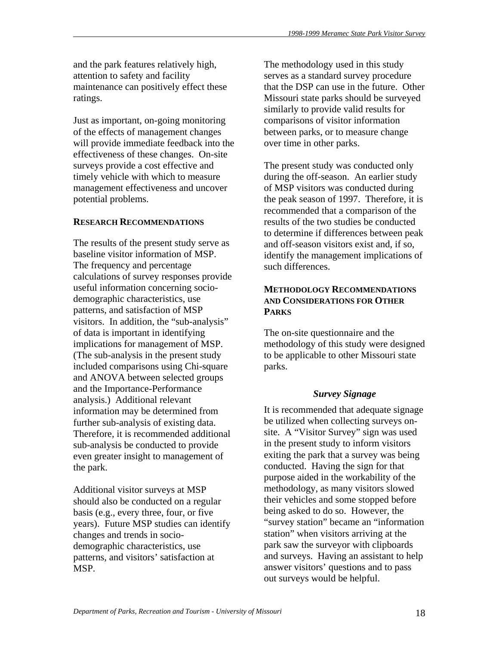and the park features relatively high, attention to safety and facility maintenance can positively effect these ratings.

Just as important, on-going monitoring of the effects of management changes will provide immediate feedback into the effectiveness of these changes. On-site surveys provide a cost effective and timely vehicle with which to measure management effectiveness and uncover potential problems.

# **RESEARCH RECOMMENDATIONS**

The results of the present study serve as baseline visitor information of MSP. The frequency and percentage calculations of survey responses provide useful information concerning sociodemographic characteristics, use patterns, and satisfaction of MSP visitors. In addition, the "sub-analysis" of data is important in identifying implications for management of MSP. (The sub-analysis in the present study included comparisons using Chi-square and ANOVA between selected groups and the Importance-Performance analysis.) Additional relevant information may be determined from further sub-analysis of existing data. Therefore, it is recommended additional sub-analysis be conducted to provide even greater insight to management of the park.

Additional visitor surveys at MSP should also be conducted on a regular basis (e.g., every three, four, or five years). Future MSP studies can identify changes and trends in sociodemographic characteristics, use patterns, and visitors' satisfaction at MSP.

The methodology used in this study serves as a standard survey procedure that the DSP can use in the future. Other Missouri state parks should be surveyed similarly to provide valid results for comparisons of visitor information between parks, or to measure change over time in other parks.

The present study was conducted only during the off-season. An earlier study of MSP visitors was conducted during the peak season of 1997. Therefore, it is recommended that a comparison of the results of the two studies be conducted to determine if differences between peak and off-season visitors exist and, if so, identify the management implications of such differences.

# **METHODOLOGY RECOMMENDATIONS AND CONSIDERATIONS FOR OTHER PARKS**

The on-site questionnaire and the methodology of this study were designed to be applicable to other Missouri state parks.

## *Survey Signage*

It is recommended that adequate signage be utilized when collecting surveys onsite. A "Visitor Survey" sign was used in the present study to inform visitors exiting the park that a survey was being conducted. Having the sign for that purpose aided in the workability of the methodology, as many visitors slowed their vehicles and some stopped before being asked to do so. However, the "survey station" became an "information station" when visitors arriving at the park saw the surveyor with clipboards and surveys. Having an assistant to help answer visitors' questions and to pass out surveys would be helpful.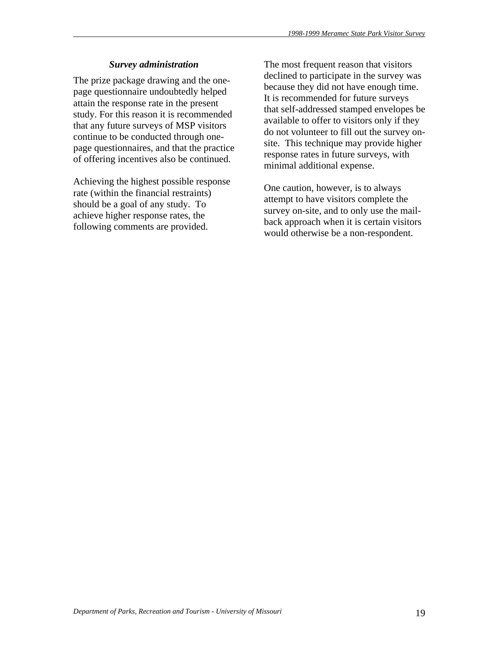# *Survey administration*

The prize package drawing and the onepage questionnaire undoubtedly helped attain the response rate in the present study. For this reason it is recommended that any future surveys of MSP visitors continue to be conducted through onepage questionnaires, and that the practice of offering incentives also be continued.

Achieving the highest possible response rate (within the financial restraints) should be a goal of any study. To achieve higher response rates, the following comments are provided.

The most frequent reason that visitors declined to participate in the survey was because they did not have enough time. It is recommended for future surveys that self-addressed stamped envelopes be available to offer to visitors only if they do not volunteer to fill out the survey onsite. This technique may provide higher response rates in future surveys, with minimal additional expense.

One caution, however, is to always attempt to have visitors complete the survey on-site, and to only use the mailback approach when it is certain visitors would otherwise be a non-respondent.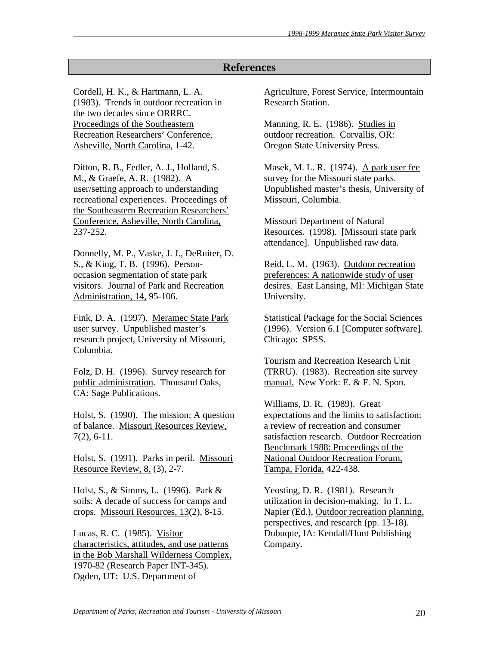# **References**

Cordell, H. K., & Hartmann, L. A. (1983). Trends in outdoor recreation in the two decades since ORRRC. Proceedings of the Southeastern Recreation Researchers' Conference, Asheville, North Carolina, 1-42.

Ditton, R. B., Fedler, A. J., Holland, S. M., & Graefe, A. R. (1982). A user/setting approach to understanding recreational experiences. Proceedings of the Southeastern Recreation Researchers' Conference, Asheville, North Carolina, 237-252.

Donnelly, M. P., Vaske, J. J., DeRuiter, D. S., & King, T. B. (1996). Personoccasion segmentation of state park visitors. Journal of Park and Recreation Administration, 14, 95-106.

Fink, D. A. (1997). Meramec State Park user survey. Unpublished master's research project, University of Missouri, Columbia.

Folz, D. H. (1996). Survey research for public administration. Thousand Oaks, CA: Sage Publications.

Holst, S. (1990). The mission: A question of balance. Missouri Resources Review, 7(2), 6-11.

Holst, S. (1991). Parks in peril. Missouri Resource Review, 8, (3), 2-7.

Holst, S., & Simms, L. (1996). Park & soils: A decade of success for camps and crops. Missouri Resources, 13(2), 8-15.

Lucas, R. C. (1985). Visitor characteristics, attitudes, and use patterns in the Bob Marshall Wilderness Complex, 1970-82 (Research Paper INT-345). Ogden, UT: U.S. Department of

Agriculture, Forest Service, Intermountain Research Station.

Manning, R. E. (1986). Studies in outdoor recreation. Corvallis, OR: Oregon State University Press.

Masek, M. L. R. (1974). A park user fee survey for the Missouri state parks. Unpublished master's thesis, University of Missouri, Columbia.

Missouri Department of Natural Resources. (1998). [Missouri state park attendance]. Unpublished raw data.

Reid, L. M. (1963). Outdoor recreation preferences: A nationwide study of user desires. East Lansing, MI: Michigan State University.

Statistical Package for the Social Sciences (1996). Version 6.1 [Computer software]. Chicago: SPSS.

Tourism and Recreation Research Unit (TRRU). (1983). Recreation site survey manual. New York: E. & F. N. Spon.

Williams, D. R. (1989). Great expectations and the limits to satisfaction: a review of recreation and consumer satisfaction research. Outdoor Recreation Benchmark 1988: Proceedings of the National Outdoor Recreation Forum, Tampa, Florida, 422-438.

Yeosting, D. R. (1981). Research utilization in decision-making. In T. L. Napier (Ed.), Outdoor recreation planning, perspectives, and research (pp. 13-18). Dubuque, IA: Kendall/Hunt Publishing Company.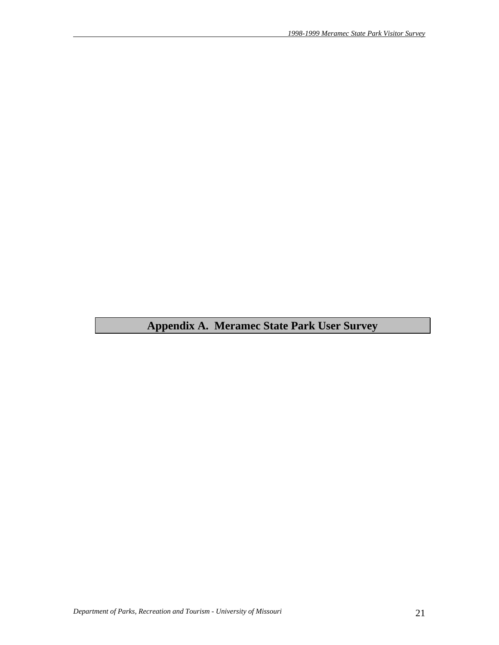**Appendix A. Meramec State Park User Survey**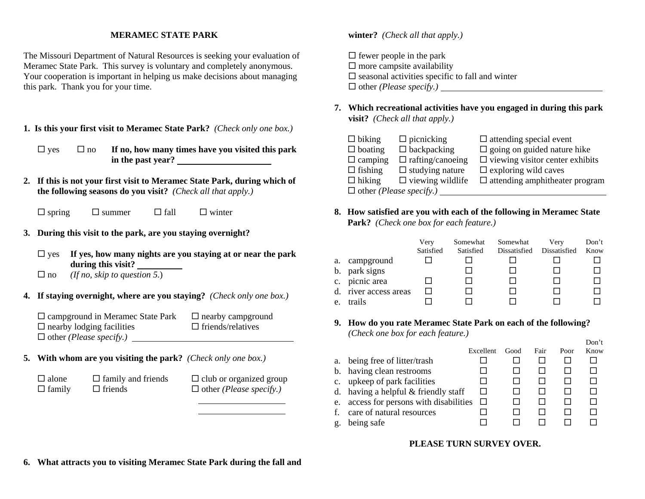#### **MERAMEC STATE PARK**

The Missouri Department of Natural Resources is seeking your evaluation of Meramec State Park. This survey is voluntary and completely anonymous. Your cooperation is important in helping us make decisions about managing this park. Thank you for your time.

- **1. Is this your first visit to Meramec State Park?** *(Check only one box.)*
	- $\Box$  yes  $\Box$  no **If no, how many times have you visited this park in the past year?**
- **2. If this is not your first visit to Meramec State Park, during which of the following seasons do you visit?** *(Check all that apply.)*
	- $\square$  spring  $\square$  summer  $\square$  fall  $\square$  winter
- **3. During this visit to the park, are you staying overnight?**
	- $\Box$  yes **If yes, how many nights are you staying at or near the park during this visit?**
	- no *(If no, skip to question 5.*)
- **4. If staying overnight, where are you staying?** *(Check only one box.)*

| $\Box$ campground in Meramec State Park | $\Box$ nearby campground |
|-----------------------------------------|--------------------------|
| $\Box$ nearby lodging facilities        | $\Box$ friends/relatives |
| $\Box$ other ( <i>Please specify</i> .) |                          |

- **5. With whom are you visiting the park?** *(Check only one box.)*
	-

 $\Box$  alone  $\Box$  family and friends  $\Box$  club or organized group  $\Box$  family  $\Box$  friends  $\Box$  other *(Please specify.)* 

#### **winter?** *(Check all that apply.)*

 $\Box$  fewer people in the park  $\square$  more campsite availability  $\square$  seasonal activities specific to fall and winter other *(Please specify.)*

**7. Which recreational activities have you engaged in during this park visit?** *(Check all that apply.)*

| $\Box$ biking                           | $\Box$ picnicking       | $\Box$ attending special event         |  |  |  |
|-----------------------------------------|-------------------------|----------------------------------------|--|--|--|
| $\Box$ boating                          | $\Box$ backpacking      | $\Box$ going on guided nature hike     |  |  |  |
| $\Box$ camping                          | $\Box$ rafting/canoeing | $\Box$ viewing visitor center exhibits |  |  |  |
| $\Box$ fishing                          | $\Box$ studying nature  | $\Box$ exploring wild caves            |  |  |  |
| $\Box$ hiking                           | $\Box$ viewing wildlife | $\Box$ attending amphitheater program  |  |  |  |
| $\Box$ other ( <i>Please specify.</i> ) |                         |                                        |  |  |  |

**8. How satisfied are you with each of the following in Meramec State Park?** *(Check one box for each feature.)*

|    |                       | Very<br>Satisfied | Somewhat<br>Satisfied | Somewhat<br>Dissatisfied | Very<br>Dissatisfied | Don't<br>Know |
|----|-----------------------|-------------------|-----------------------|--------------------------|----------------------|---------------|
|    | a. campground         |                   |                       |                          |                      |               |
|    | b. park signs         |                   |                       |                          |                      |               |
|    | c. picnic area        |                   |                       |                          |                      |               |
|    | d. river access areas |                   |                       |                          |                      |               |
| e. | trails                |                   |                       |                          |                      |               |

**9. How do you rate Meramec State Park on each of the following?** *(Check one box for each feature.)*

| a. being free of litter/trash           |              |  |  |
|-----------------------------------------|--------------|--|--|
|                                         |              |  |  |
| b. having clean restrooms               |              |  |  |
| c. upkeep of park facilities            |              |  |  |
| d. having a helpful $&$ friendly staff  |              |  |  |
| e. access for persons with disabilities | $\mathbf{L}$ |  |  |
| f. care of natural resources            |              |  |  |
| being safe<br>g.                        |              |  |  |

Don't

#### **PLEASE TURN SURVEY OVER.**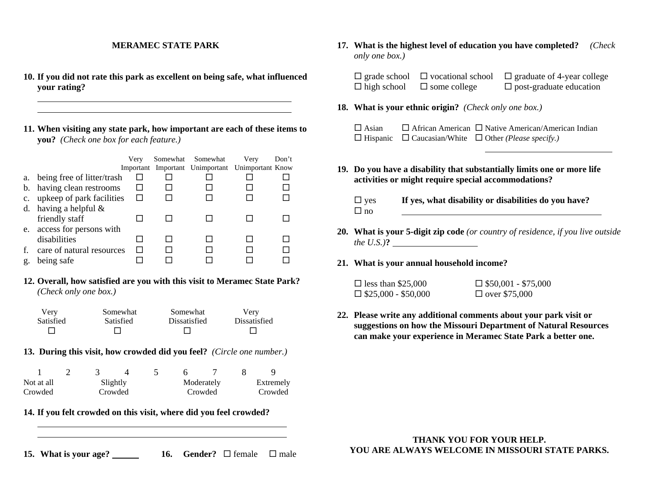#### **MERAMEC STATE PARK**

- **10. If you did not rate this park as excellent on being safe, what influenced your rating?**
- **11. When visiting any state park, how important are each of these items to you?** *(Check one box for each feature.)*

|             |                            | Verv         | Somewhat Somewhat                                | Verv | Don't |
|-------------|----------------------------|--------------|--------------------------------------------------|------|-------|
|             |                            |              | Important Important Unimportant Unimportant Know |      |       |
| a.          | being free of litter/trash |              |                                                  |      |       |
|             | b. having clean restrooms  |              |                                                  |      |       |
| $c_{\cdot}$ | upkeep of park facilities  | $\mathsf{L}$ |                                                  |      |       |
| d.          | having a helpful $\&$      |              |                                                  |      |       |
|             | friendly staff             |              |                                                  |      |       |
|             | e. access for persons with |              |                                                  |      |       |
|             | disabilities               |              |                                                  |      |       |
| f.          | care of natural resources  |              |                                                  |      |       |
| g.          | being safe                 |              |                                                  |      |       |

#### **12. Overall, how satisfied are you with this visit to Meramec State Park?** *(Check only one box.)*

| Very      | Somewhat  | Somewhat     | Verv         |
|-----------|-----------|--------------|--------------|
| Satisfied | Satisfied | Dissatisfied | Dissatisfied |
|           |           |              |              |

**13. During this visit, how crowded did you feel?** *(Circle one number.)*

| Not at all |  | Slightly |  | Moderately | Extremely |
|------------|--|----------|--|------------|-----------|
| Crowded    |  | Crowded  |  | Crowded    | Crowded   |

## **14. If you felt crowded on this visit, where did you feel crowded?**

**15. What is your age?** \_\_\_\_\_\_ **16.** Gender?  $\Box$  female  $\Box$  male

**17. What is the highest level of education you have completed?** *(Check only one box.)*

 $\Box$  grade school  $\Box$  vocational school  $\Box$  graduate of 4-year college  $\Box$  high school  $\Box$  some college  $\Box$  post-graduate education

**18. What is your ethnic origin?** *(Check only one box.)*

 $\Box$  Asian  $\Box$  African American  $\Box$  Native American/American Indian  $\Box$  Hispanic  $\Box$  Caucasian/White  $\Box$  Other *(Please specify.)* 

- **19. Do you have a disability that substantially limits one or more life activities or might require special accommodations?**
	- □ yes **If yes, what disability or disabilities do you have?**  $\Box$  no
- **20. What is your 5-digit zip code** *(or country of residence, if you live outside the U.S.)***?**
- **21. What is your annual household income?**

| $\square$ less than \$25,000 | $\Box$ \$50,001 - \$75,000 |
|------------------------------|----------------------------|
| $\Box$ \$25,000 - \$50,000   | $\Box$ over \$75,000       |

**22. Please write any additional comments about your park visit or suggestions on how the Missouri Department of Natural Resources can make your experience in Meramec State Park a better one.**

#### **THANK YOU FOR YOUR HELP. YOU ARE ALWAYS WELCOME IN MISSOURI STATE PARKS.**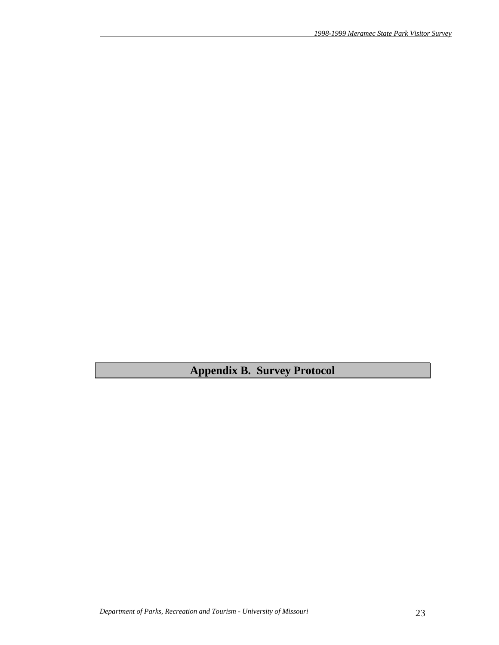**Appendix B. Survey Protocol**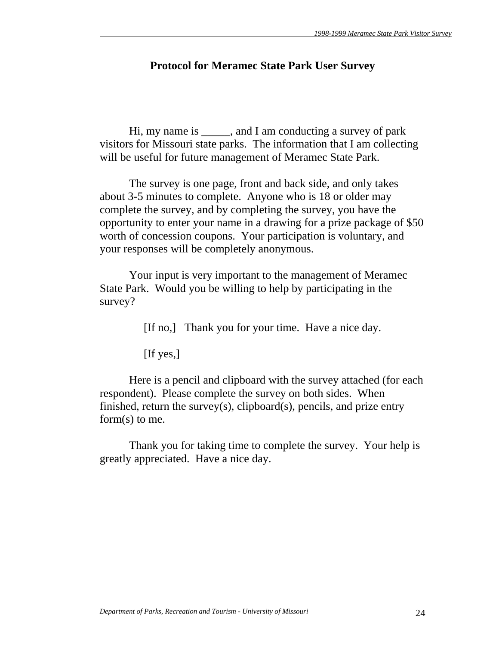# **Protocol for Meramec State Park User Survey**

 Hi, my name is \_\_\_\_\_, and I am conducting a survey of park visitors for Missouri state parks. The information that I am collecting will be useful for future management of Meramec State Park.

 The survey is one page, front and back side, and only takes about 3-5 minutes to complete. Anyone who is 18 or older may complete the survey, and by completing the survey, you have the opportunity to enter your name in a drawing for a prize package of \$50 worth of concession coupons. Your participation is voluntary, and your responses will be completely anonymous.

 Your input is very important to the management of Meramec State Park. Would you be willing to help by participating in the survey?

[If no,] Thank you for your time. Have a nice day.

[If yes,]

 Here is a pencil and clipboard with the survey attached (for each respondent). Please complete the survey on both sides. When finished, return the survey(s), clipboard(s), pencils, and prize entry form(s) to me.

 Thank you for taking time to complete the survey. Your help is greatly appreciated. Have a nice day.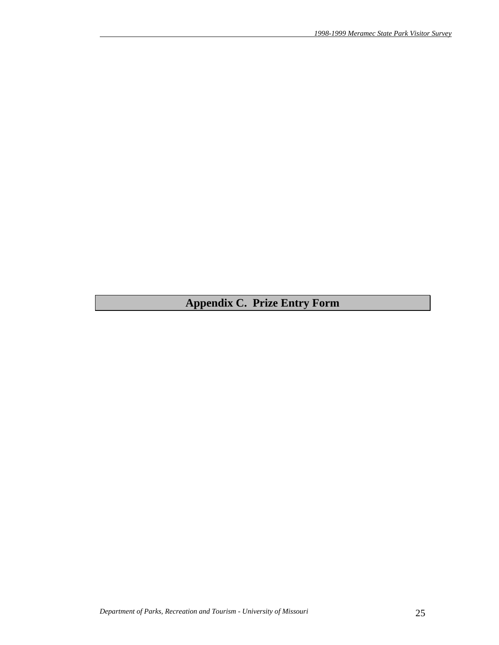# **Appendix C. Prize Entry Form**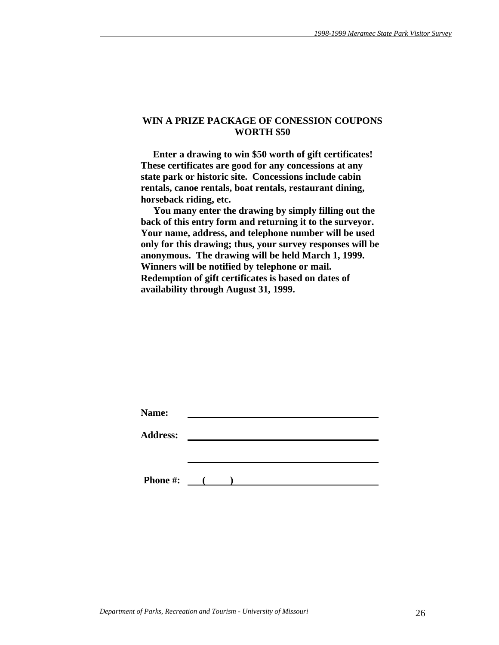### **WIN A PRIZE PACKAGE OF CONESSION COUPONS WORTH \$50**

 **Enter a drawing to win \$50 worth of gift certificates! These certificates are good for any concessions at any state park or historic site. Concessions include cabin rentals, canoe rentals, boat rentals, restaurant dining, horseback riding, etc.** 

 **You many enter the drawing by simply filling out the back of this entry form and returning it to the surveyor. Your name, address, and telephone number will be used only for this drawing; thus, your survey responses will be anonymous. The drawing will be held March 1, 1999. Winners will be notified by telephone or mail. Redemption of gift certificates is based on dates of availability through August 31, 1999.** 

| Name:           |                          |  |  |  |
|-----------------|--------------------------|--|--|--|
| <b>Address:</b> |                          |  |  |  |
|                 |                          |  |  |  |
|                 |                          |  |  |  |
| <b>Phone #:</b> | <b>Contract Contract</b> |  |  |  |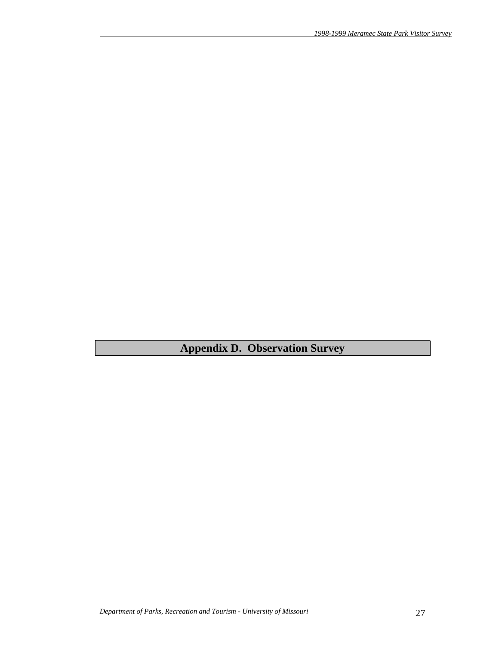**Appendix D. Observation Survey**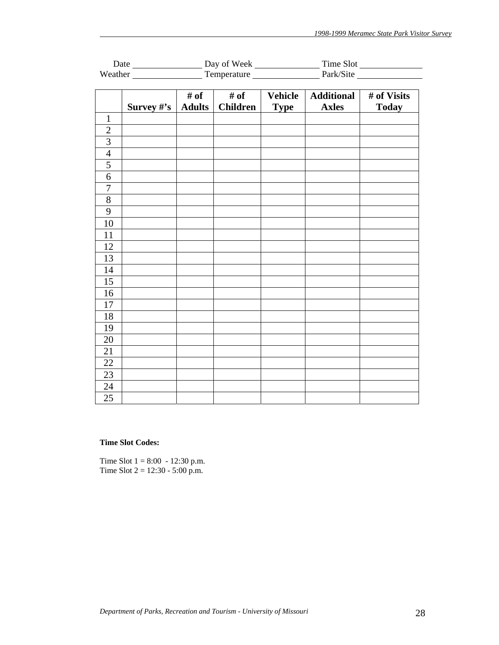|                  |             |                       | Time Slot               |                               |                                   |                             |  |
|------------------|-------------|-----------------------|-------------------------|-------------------------------|-----------------------------------|-----------------------------|--|
|                  |             |                       |                         | Weather Temperature Park/Site |                                   |                             |  |
|                  | Survey $#s$ | # of<br><b>Adults</b> | # of<br><b>Children</b> | <b>Vehicle</b><br><b>Type</b> | <b>Additional</b><br><b>Axles</b> | # of Visits<br><b>Today</b> |  |
| $\mathbf{1}$     |             |                       |                         |                               |                                   |                             |  |
| $\overline{2}$   |             |                       |                         |                               |                                   |                             |  |
| $\overline{3}$   |             |                       |                         |                               |                                   |                             |  |
| $\overline{4}$   |             |                       |                         |                               |                                   |                             |  |
| 5                |             |                       |                         |                               |                                   |                             |  |
| 6                |             |                       |                         |                               |                                   |                             |  |
| $\boldsymbol{7}$ |             |                       |                         |                               |                                   |                             |  |
| 8                |             |                       |                         |                               |                                   |                             |  |
| 9                |             |                       |                         |                               |                                   |                             |  |
| 10               |             |                       |                         |                               |                                   |                             |  |
| 11               |             |                       |                         |                               |                                   |                             |  |
| 12               |             |                       |                         |                               |                                   |                             |  |
| 13               |             |                       |                         |                               |                                   |                             |  |
| 14               |             |                       |                         |                               |                                   |                             |  |
| 15               |             |                       |                         |                               |                                   |                             |  |
| 16               |             |                       |                         |                               |                                   |                             |  |
| 17               |             |                       |                         |                               |                                   |                             |  |
| 18               |             |                       |                         |                               |                                   |                             |  |
| 19               |             |                       |                         |                               |                                   |                             |  |
| 20               |             |                       |                         |                               |                                   |                             |  |
| 21               |             |                       |                         |                               |                                   |                             |  |
| 22               |             |                       |                         |                               |                                   |                             |  |
| 23               |             |                       |                         |                               |                                   |                             |  |
| 24               |             |                       |                         |                               |                                   |                             |  |
| 25               |             |                       |                         |                               |                                   |                             |  |

#### **Time Slot Codes:**

Time Slot  $1 = 8:00 - 12:30$  p.m. Time Slot  $2 = 12:30 - 5:00$  p.m.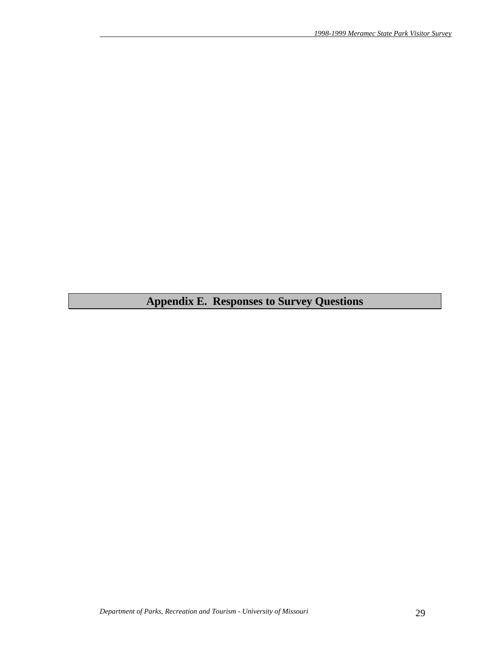# **Appendix E. Responses to Survey Questions**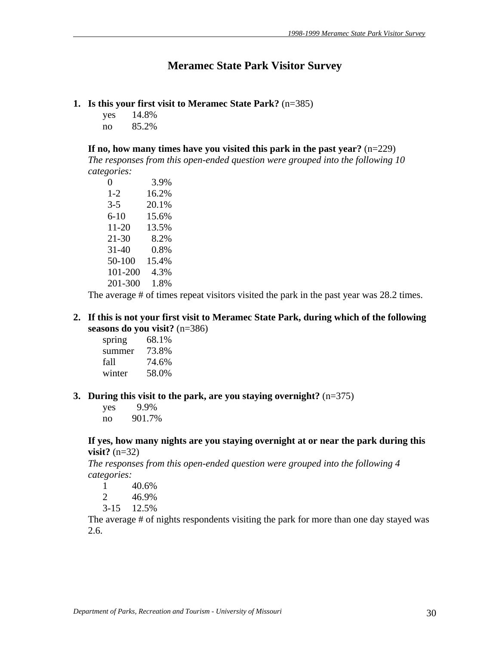# **Meramec State Park Visitor Survey**

# **1. Is this your first visit to Meramec State Park?** (n=385)

yes 14.8% no 85.2%

**If no, how many times have you visited this park in the past year?** (n=229)

*The responses from this open-ended question were grouped into the following 10 categories:*

| 0         | 3.9%  |
|-----------|-------|
| $1 - 2$   | 16.2% |
| $3 - 5$   | 20.1% |
| $6 - 10$  | 15.6% |
| 11-20     | 13.5% |
| 21-30     | 8.2%  |
| $31 - 40$ | 0.8%  |
| 50-100    | 15.4% |
| 101-200   | 4.3%  |
| 201-300   | 1.8%  |

The average # of times repeat visitors visited the park in the past year was 28.2 times.

## **2. If this is not your first visit to Meramec State Park, during which of the following seasons do you visit?** (n=386)

spring 68.1% summer 73.8% fall 74.6% winter 58.0%

## **3. During this visit to the park, are you staying overnight?** (n=375)

 yes 9.9% no 901.7%

## **If yes, how many nights are you staying overnight at or near the park during this visit?** (n=32)

*The responses from this open-ended question were grouped into the following 4 categories:*

- 1 40.6%
- 2 46.9%
- 3-15 12.5%

The average # of nights respondents visiting the park for more than one day stayed was 2.6.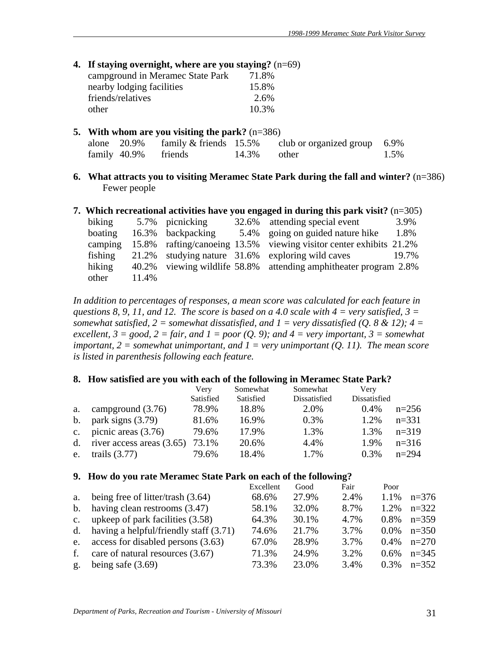|  |  |  |  | 4. If staying overnight, where are you staying? $(n=69)$ |  |
|--|--|--|--|----------------------------------------------------------|--|
|--|--|--|--|----------------------------------------------------------|--|

| campground in Meramec State Park | 71.8% |
|----------------------------------|-------|
| nearby lodging facilities        | 15.8% |
| friends/relatives                | 2.6%  |
| other                            | 10.3% |

| 5. With whom are you visiting the park? $(n=386)$ |                      |  |       |                                                                    |      |
|---------------------------------------------------|----------------------|--|-------|--------------------------------------------------------------------|------|
|                                                   |                      |  |       | alone $20.9\%$ family & friends 15.5% club or organized group 6.9% |      |
|                                                   | family 40.9% friends |  | 14.3% | other                                                              | 1.5% |

**6. What attracts you to visiting Meramec State Park during the fall and winter?** (n=386) Fewer people

#### **7. Which recreational activities have you engaged in during this park visit?** (n=305)

| biking  |       | 5.7% picnicking        | 32.6% attending special event                                      | 3.9%  |
|---------|-------|------------------------|--------------------------------------------------------------------|-------|
| boating |       | 16.3% backpacking      | 5.4% going on guided nature hike                                   | 1.8%  |
| camping |       |                        | 15.8% rafting/canoeing 13.5% viewing visitor center exhibits 21.2% |       |
| fishing |       |                        | 21.2% studying nature 31.6% exploring wild caves                   | 19.7% |
| hiking  | 40.2% | viewing wildlife 58.8% | attending amphitheater program 2.8%                                |       |
| other   | 11.4% |                        |                                                                    |       |

*In addition to percentages of responses, a mean score was calculated for each feature in questions 8, 9, 11, and 12. The score is based on a 4.0 scale with 4 = very satisfied, 3 = somewhat satisfied, 2 = somewhat dissatisfied, and 1 = very dissatisfied (Q. 8 & 12); 4 = excellent, 3 = good, 2 = fair, and 1 = poor (Q. 9); and 4 = very important, 3 = somewhat important, 2 = somewhat unimportant, and 1 = very unimportant (Q. 11). The mean score is listed in parenthesis following each feature.* 

#### **8. How satisfied are you with each of the following in Meramec State Park?**

|    |                                | Very      | Somewhat  | Somewhat     | Very         |           |
|----|--------------------------------|-----------|-----------|--------------|--------------|-----------|
|    |                                | Satisfied | Satisfied | Dissatisfied | Dissatisfied |           |
| a. | campground $(3.76)$            | 78.9%     | 18.8%     | 2.0%         | $0.4\%$      | $n=256$   |
|    | b. park signs $(3.79)$         | 81.6%     | 16.9%     | 0.3%         | 1.2%         | $n = 331$ |
| c. | picnic areas $(3.76)$          | 79.6%     | 17.9%     | 1.3%         | 1.3%         | $n=319$   |
|    | d. river access areas $(3.65)$ | 73.1%     | 20.6%     | 4.4%         | 1.9%         | $n=316$   |
| e. | trails $(3.77)$                | 79.6%     | 18.4%     | 1.7%         | 0.3%         | $n=294$   |

#### **9. How do you rate Meramec State Park on each of the following?**

|                |                                         | Excellent | Good  | Fair | Poor    |         |
|----------------|-----------------------------------------|-----------|-------|------|---------|---------|
| a.             | being free of litter/trash $(3.64)$     | 68.6%     | 27.9% | 2.4% | 1.1%    | $n=376$ |
| $\mathbf{b}$ . | having clean restrooms (3.47)           | 58.1%     | 32.0% | 8.7% | 1.2%    | $n=322$ |
| $C_{\bullet}$  | upkeep of park facilities (3.58)        | 64.3%     | 30.1% | 4.7% | $0.8\%$ | $n=359$ |
| $d_{\cdot}$    | having a helpful/friendly staff (3.71)  | 74.6%     | 21.7% | 3.7% | $0.0\%$ | $n=350$ |
|                | e. access for disabled persons $(3.63)$ | 67.0%     | 28.9% | 3.7% | $0.4\%$ | $n=270$ |
| f.             | care of natural resources (3.67)        | 71.3%     | 24.9% | 3.2% | $0.6\%$ | $n=345$ |
| g.             | being safe $(3.69)$                     | 73.3%     | 23.0% | 3.4% | 0.3%    | $n=352$ |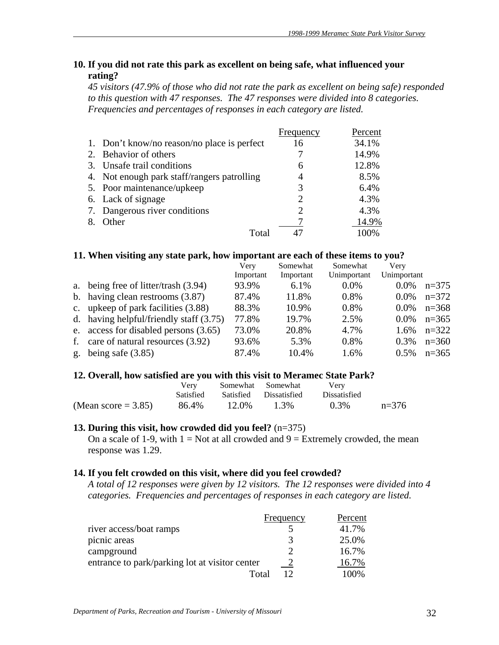# **10. If you did not rate this park as excellent on being safe, what influenced your rating?**

*45 visitors (47.9% of those who did not rate the park as excellent on being safe) responded to this question with 47 responses. The 47 responses were divided into 8 categories. Frequencies and percentages of responses in each category are listed.* 

|    |                                             | Frequency | Percent |
|----|---------------------------------------------|-----------|---------|
|    | 1. Don't know/no reason/no place is perfect | 16        | 34.1%   |
|    | Behavior of others                          |           | 14.9%   |
| 3. | Unsafe trail conditions                     | 6         | 12.8%   |
|    | 4. Not enough park staff/rangers patrolling | 4         | 8.5%    |
|    | 5. Poor maintenance/upkeep                  | 3         | 6.4%    |
|    | 6. Lack of signage                          | 2         | 4.3%    |
|    | 7. Dangerous river conditions               | 2         | 4.3%    |
|    | Other                                       |           | 14.9%   |
|    | Total                                       |           | 100%    |

### **11. When visiting any state park, how important are each of these items to you?**

| Very                                                                                                                                                                                                                                                                  | Somewhat  | Somewhat    | Very        |         |
|-----------------------------------------------------------------------------------------------------------------------------------------------------------------------------------------------------------------------------------------------------------------------|-----------|-------------|-------------|---------|
| Important                                                                                                                                                                                                                                                             | Important | Unimportant | Unimportant |         |
| 93.9%                                                                                                                                                                                                                                                                 | 6.1%      | $0.0\%$     | $0.0\%$     | $n=375$ |
| 87.4%                                                                                                                                                                                                                                                                 | 11.8%     | 0.8%        | $0.0\%$     | $n=372$ |
| 88.3%                                                                                                                                                                                                                                                                 | 10.9%     | 0.8%        | $0.0\%$     | $n=368$ |
| 77.8%                                                                                                                                                                                                                                                                 | 19.7%     | 2.5%        | $0.0\%$     | $n=365$ |
| 73.0%                                                                                                                                                                                                                                                                 | 20.8%     | 4.7%        | 1.6%        | $n=322$ |
| 93.6%                                                                                                                                                                                                                                                                 | 5.3%      | 0.8%        | $0.3\%$     | $n=360$ |
| 87.4%                                                                                                                                                                                                                                                                 | 10.4%     | 1.6%        | $0.5\%$     | $n=365$ |
| a. being free of litter/trash (3.94)<br>b. having clean restrooms $(3.87)$<br>c. upkeep of park facilities (3.88)<br>d. having helpful/friendly staff $(3.75)$<br>e. access for disabled persons (3.65)<br>care of natural resources (3.92)<br>g. being safe $(3.85)$ |           |             |             |         |

## **12. Overall, how satisfied are you with this visit to Meramec State Park?**

|                       | Very      | Somewhat Somewhat |                        | Very                |         |
|-----------------------|-----------|-------------------|------------------------|---------------------|---------|
|                       | Satisfied |                   | Satisfied Dissatisfied | <b>Dissatisfied</b> |         |
| (Mean score $=$ 3.85) | 86.4%     | 12.0%             | 1.3%                   | $0.3\%$             | $n=376$ |

## **13. During this visit, how crowded did you feel?** (n=375)

On a scale of 1-9, with  $1 = Not$  at all crowded and  $9 = Extremely$  crowded, the mean response was 1.29.

## **14. If you felt crowded on this visit, where did you feel crowded?**

*A total of 12 responses were given by 12 visitors. The 12 responses were divided into 4 categories. Frequencies and percentages of responses in each category are listed.* 

|                                                | Frequency | Percent |
|------------------------------------------------|-----------|---------|
| river access/boat ramps                        |           | 41.7%   |
| picnic areas                                   | 3         | 25.0%   |
| campground                                     |           | 16.7%   |
| entrance to park/parking lot at visitor center |           | 16.7%   |
| Total                                          |           | 100%    |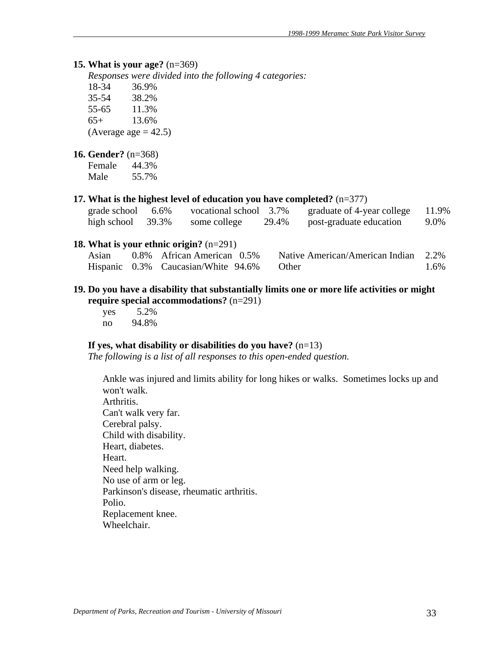#### **15. What is your age?** (n=369)

*Responses were divided into the following 4 categories:*

18-34 36.9% 35-54 38.2% 55-65 11.3% 65+ 13.6% (Average age  $= 42.5$ )

#### **16. Gender?** (n=368)

Female 44.3% Male 55.7%

#### **17. What is the highest level of education you have completed?** (n=377)

| grade school         | 6.6% | vocational school 3.7% |       | graduate of 4-year college | 11.9% |
|----------------------|------|------------------------|-------|----------------------------|-------|
| high school $39.3\%$ |      | some college           | 29.4% | post-graduate education    | 9.0%  |

#### **18. What is your ethnic origin?** (n=291)

| Asian | 0.8% African American 0.5%                | Native American/American Indian 2.2% |      |
|-------|-------------------------------------------|--------------------------------------|------|
|       | Hispanic 0.3% Caucasian/White 94.6% Other |                                      | 1.6% |

### **19. Do you have a disability that substantially limits one or more life activities or might require special accommodations?** (n=291)

 yes 5.2% no 94.8%

#### **If yes, what disability or disabilities do you have?** (n=13)

*The following is a list of all responses to this open-ended question.* 

Ankle was injured and limits ability for long hikes or walks. Sometimes locks up and won't walk. Arthritis. Can't walk very far. Cerebral palsy. Child with disability. Heart, diabetes. Heart. Need help walking. No use of arm or leg. Parkinson's disease, rheumatic arthritis. Polio. Replacement knee. Wheelchair.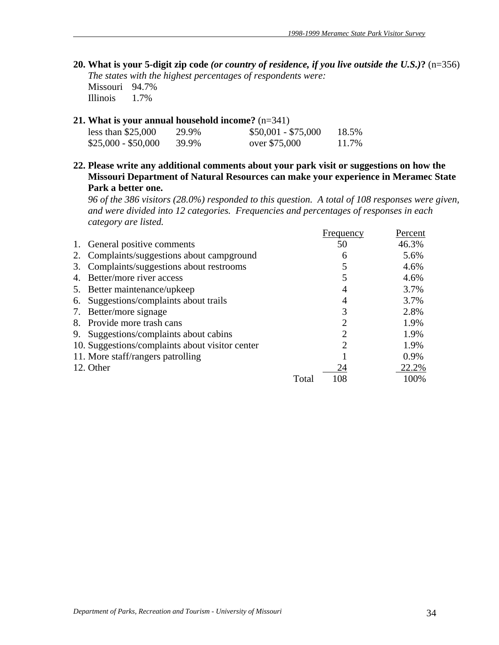- **20. What is your 5-digit zip code** *(or country of residence, if you live outside the U.S.)***?** (n=356) *The states with the highest percentages of respondents were:* Missouri 94.7% Illinois 1.7%
- **21. What is your annual household income?** (n=341)

| less than $$25,000$ | 29.9% | $$50,001 - $75,000$ | 18.5% |
|---------------------|-------|---------------------|-------|
| $$25,000 - $50,000$ | 39.9% | over \$75,000       | 11.7% |

**22. Please write any additional comments about your park visit or suggestions on how the Missouri Department of Natural Resources can make your experience in Meramec State Park a better one.** 

*96 of the 386 visitors (28.0%) responded to this question. A total of 108 responses were given, and were divided into 12 categories. Frequencies and percentages of responses in each category are listed.*

|    |                                                 |       | Frequency | Percent |
|----|-------------------------------------------------|-------|-----------|---------|
| 1. | General positive comments                       |       | 50        | 46.3%   |
| 2. | Complaints/suggestions about campground         |       | 6         | 5.6%    |
| 3. | Complaints/suggestions about restrooms          |       |           | 4.6%    |
| 4. | Better/more river access                        |       |           | 4.6%    |
|    | 5. Better maintenance/upkeep                    |       |           | 3.7%    |
| 6. | Suggestions/complaints about trails             |       | 4         | 3.7%    |
| 7. | Better/more signage                             |       |           | 2.8%    |
|    | 8. Provide more trash cans                      |       | 2         | 1.9%    |
|    | 9. Suggestions/complaints about cabins          |       | ∍         | 1.9%    |
|    | 10. Suggestions/complaints about visitor center |       | ∍         | 1.9%    |
|    | 11. More staff/rangers patrolling               |       |           | 0.9%    |
|    | 12. Other                                       |       | 24        | 22.2%   |
|    |                                                 | Total | 108       | 100%    |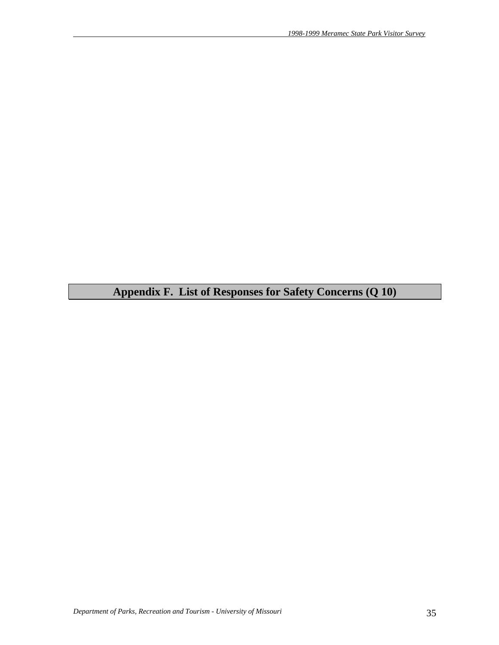**Appendix F. List of Responses for Safety Concerns (Q 10)**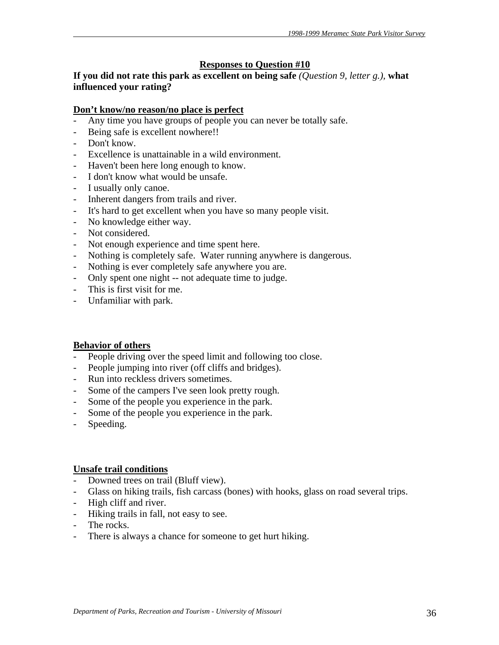# **Responses to Question #10**

**If you did not rate this park as excellent on being safe** *(Question 9, letter g.),* **what influenced your rating?** 

### **Don't know/no reason/no place is perfect**

- Any time you have groups of people you can never be totally safe.
- Being safe is excellent nowhere!!
- Don't know.
- Excellence is unattainable in a wild environment.
- Haven't been here long enough to know.
- I don't know what would be unsafe.
- I usually only canoe.
- Inherent dangers from trails and river.
- It's hard to get excellent when you have so many people visit.
- No knowledge either way.
- Not considered.
- Not enough experience and time spent here.
- Nothing is completely safe. Water running anywhere is dangerous.
- Nothing is ever completely safe anywhere you are.
- Only spent one night -- not adequate time to judge.
- This is first visit for me.
- Unfamiliar with park.

#### **Behavior of others**

- People driving over the speed limit and following too close.
- People jumping into river (off cliffs and bridges).
- Run into reckless drivers sometimes.
- Some of the campers I've seen look pretty rough.
- Some of the people you experience in the park.
- Some of the people you experience in the park.
- Speeding.

#### **Unsafe trail conditions**

- Downed trees on trail (Bluff view).
- Glass on hiking trails, fish carcass (bones) with hooks, glass on road several trips.
- High cliff and river.
- Hiking trails in fall, not easy to see.
- The rocks.
- There is always a chance for someone to get hurt hiking.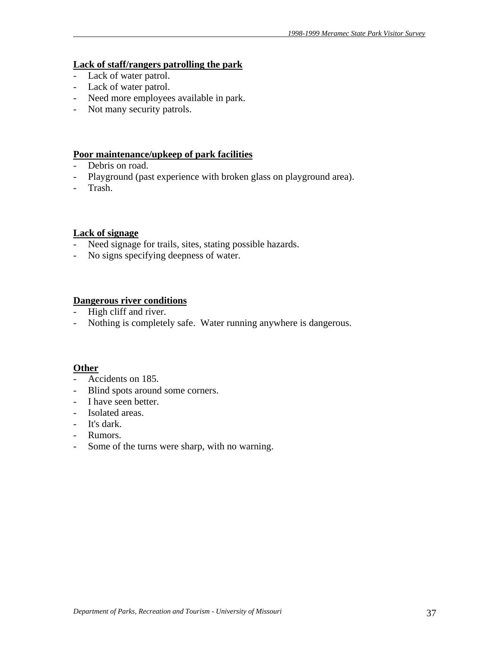### **Lack of staff/rangers patrolling the park**

- Lack of water patrol.
- Lack of water patrol.
- Need more employees available in park.
- Not many security patrols.

#### **Poor maintenance/upkeep of park facilities**

- Debris on road.
- Playground (past experience with broken glass on playground area).
- Trash.

## **Lack of signage**

- Need signage for trails, sites, stating possible hazards.
- No signs specifying deepness of water.

# **Dangerous river conditions**

- High cliff and river.
- Nothing is completely safe. Water running anywhere is dangerous.

# **Other**

- Accidents on 185.
- Blind spots around some corners.
- I have seen better.
- Isolated areas.
- It's dark.
- Rumors.
- Some of the turns were sharp, with no warning.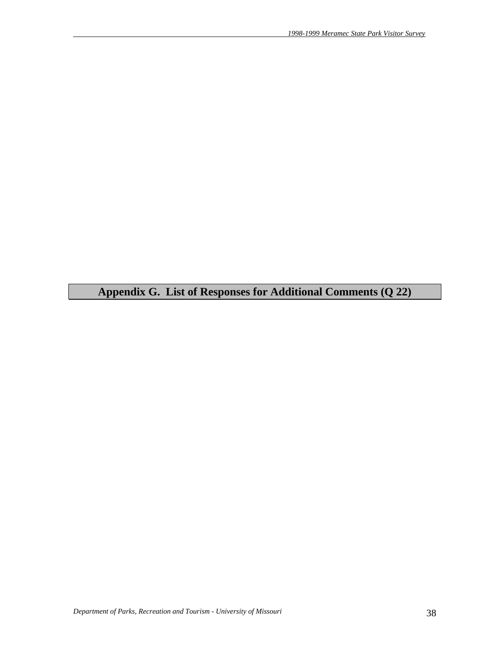**Appendix G. List of Responses for Additional Comments (Q 22)**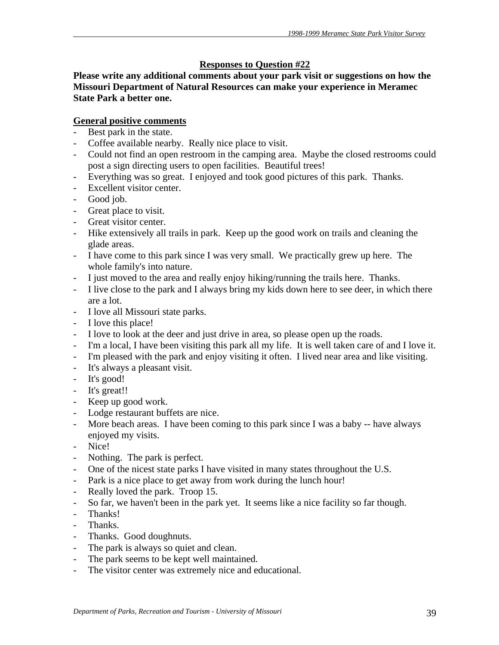# **Responses to Question #22**

**Please write any additional comments about your park visit or suggestions on how the Missouri Department of Natural Resources can make your experience in Meramec State Park a better one.** 

# **General positive comments**

- Best park in the state.
- Coffee available nearby. Really nice place to visit.
- Could not find an open restroom in the camping area. Maybe the closed restrooms could post a sign directing users to open facilities. Beautiful trees!
- Everything was so great. I enjoyed and took good pictures of this park. Thanks.
- Excellent visitor center.
- Good job.
- Great place to visit.
- Great visitor center.
- Hike extensively all trails in park. Keep up the good work on trails and cleaning the glade areas.
- I have come to this park since I was very small. We practically grew up here. The whole family's into nature.
- I just moved to the area and really enjoy hiking/running the trails here. Thanks.
- I live close to the park and I always bring my kids down here to see deer, in which there are a lot.
- I love all Missouri state parks.
- I love this place!
- I love to look at the deer and just drive in area, so please open up the roads.
- I'm a local, I have been visiting this park all my life. It is well taken care of and I love it.
- I'm pleased with the park and enjoy visiting it often. I lived near area and like visiting.
- It's always a pleasant visit.
- It's good!
- It's great!!
- Keep up good work.
- Lodge restaurant buffets are nice.
- More beach areas. I have been coming to this park since I was a baby -- have always enjoyed my visits.
- Nice!
- Nothing. The park is perfect.
- One of the nicest state parks I have visited in many states throughout the U.S.
- Park is a nice place to get away from work during the lunch hour!
- Really loved the park. Troop 15.
- So far, we haven't been in the park yet. It seems like a nice facility so far though.
- Thanks!
- Thanks.
- Thanks. Good doughnuts.
- The park is always so quiet and clean.
- The park seems to be kept well maintained.
- The visitor center was extremely nice and educational.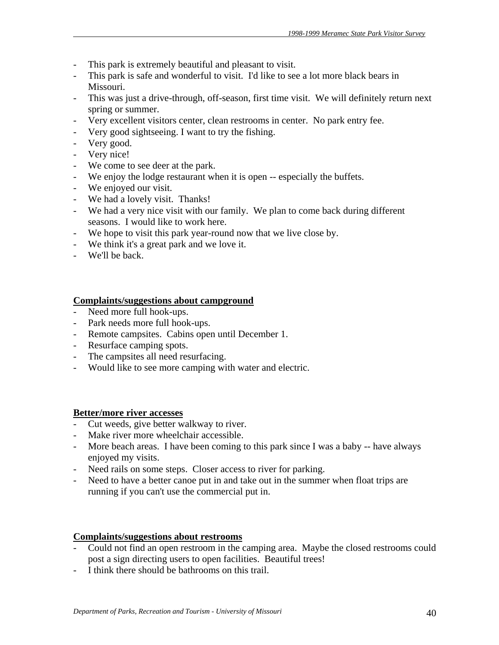- This park is extremely beautiful and pleasant to visit.
- This park is safe and wonderful to visit. I'd like to see a lot more black bears in Missouri.
- This was just a drive-through, off-season, first time visit. We will definitely return next spring or summer.
- Very excellent visitors center, clean restrooms in center. No park entry fee.
- Very good sightseeing. I want to try the fishing.
- Very good.
- Very nice!
- We come to see deer at the park.
- We enjoy the lodge restaurant when it is open -- especially the buffets.
- We enjoyed our visit.
- We had a lovely visit. Thanks!
- We had a very nice visit with our family. We plan to come back during different seasons. I would like to work here.
- We hope to visit this park year-round now that we live close by.
- We think it's a great park and we love it.
- We'll be back.

## **Complaints/suggestions about campground**

- Need more full hook-ups.
- Park needs more full hook-ups.
- Remote campsites. Cabins open until December 1.
- Resurface camping spots.
- The campsites all need resurfacing.
- Would like to see more camping with water and electric.

## **Better/more river accesses**

- Cut weeds, give better walkway to river.
- Make river more wheelchair accessible.
- More beach areas. I have been coming to this park since I was a baby -- have always enjoyed my visits.
- Need rails on some steps. Closer access to river for parking.
- Need to have a better canoe put in and take out in the summer when float trips are running if you can't use the commercial put in.

## **Complaints/suggestions about restrooms**

- Could not find an open restroom in the camping area. Maybe the closed restrooms could post a sign directing users to open facilities. Beautiful trees!
- I think there should be bathrooms on this trail.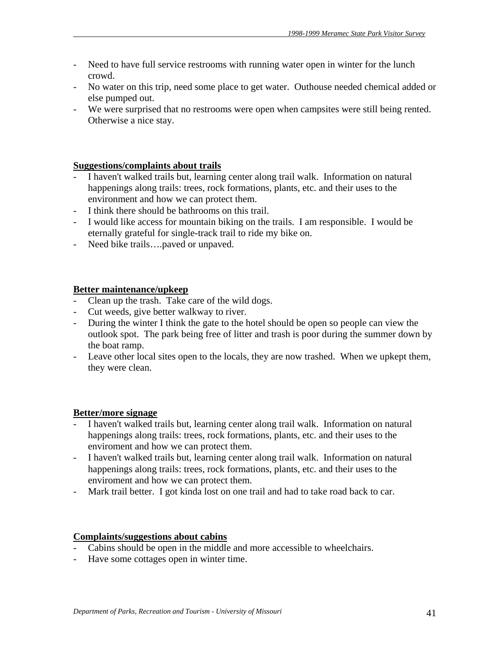- Need to have full service restrooms with running water open in winter for the lunch crowd.
- No water on this trip, need some place to get water. Outhouse needed chemical added or else pumped out.
- We were surprised that no restrooms were open when campsites were still being rented. Otherwise a nice stay.

## **Suggestions/complaints about trails**

- I haven't walked trails but, learning center along trail walk. Information on natural happenings along trails: trees, rock formations, plants, etc. and their uses to the environment and how we can protect them.
- I think there should be bathrooms on this trail.
- I would like access for mountain biking on the trails. I am responsible. I would be eternally grateful for single-track trail to ride my bike on.
- Need bike trails….paved or unpaved.

## **Better maintenance/upkeep**

- Clean up the trash. Take care of the wild dogs.
- Cut weeds, give better walkway to river.
- During the winter I think the gate to the hotel should be open so people can view the outlook spot. The park being free of litter and trash is poor during the summer down by the boat ramp.
- Leave other local sites open to the locals, they are now trashed. When we upkept them, they were clean.

## **Better/more signage**

- I haven't walked trails but, learning center along trail walk. Information on natural happenings along trails: trees, rock formations, plants, etc. and their uses to the enviroment and how we can protect them.
- I haven't walked trails but, learning center along trail walk. Information on natural happenings along trails: trees, rock formations, plants, etc. and their uses to the enviroment and how we can protect them.
- Mark trail better. I got kinda lost on one trail and had to take road back to car.

## **Complaints/suggestions about cabins**

- Cabins should be open in the middle and more accessible to wheelchairs.
- Have some cottages open in winter time.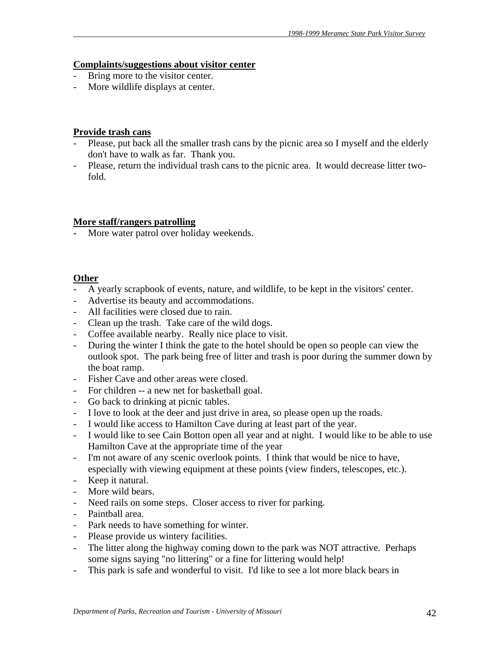### **Complaints/suggestions about visitor center**

- Bring more to the visitor center.
- More wildlife displays at center.

## **Provide trash cans**

- Please, put back all the smaller trash cans by the picnic area so I myself and the elderly don't have to walk as far. Thank you.
- Please, return the individual trash cans to the picnic area. It would decrease litter twofold.

## **More staff/rangers patrolling**

**-** More water patrol over holiday weekends.

# **Other**

- A yearly scrapbook of events, nature, and wildlife, to be kept in the visitors' center.
- Advertise its beauty and accommodations.
- All facilities were closed due to rain.
- Clean up the trash. Take care of the wild dogs.
- Coffee available nearby. Really nice place to visit.
- During the winter I think the gate to the hotel should be open so people can view the outlook spot. The park being free of litter and trash is poor during the summer down by the boat ramp.
- Fisher Cave and other areas were closed.
- For children -- a new net for basketball goal.
- Go back to drinking at picnic tables.
- I love to look at the deer and just drive in area, so please open up the roads.
- I would like access to Hamilton Cave during at least part of the year.
- I would like to see Cain Botton open all year and at night. I would like to be able to use Hamilton Cave at the appropriate time of the year
- I'm not aware of any scenic overlook points. I think that would be nice to have, especially with viewing equipment at these points (view finders, telescopes, etc.).
- Keep it natural.
- More wild bears.
- Need rails on some steps. Closer access to river for parking.
- Paintball area.
- Park needs to have something for winter.
- Please provide us wintery facilities.
- The litter along the highway coming down to the park was NOT attractive. Perhaps some signs saying "no littering" or a fine for littering would help!
- This park is safe and wonderful to visit. I'd like to see a lot more black bears in